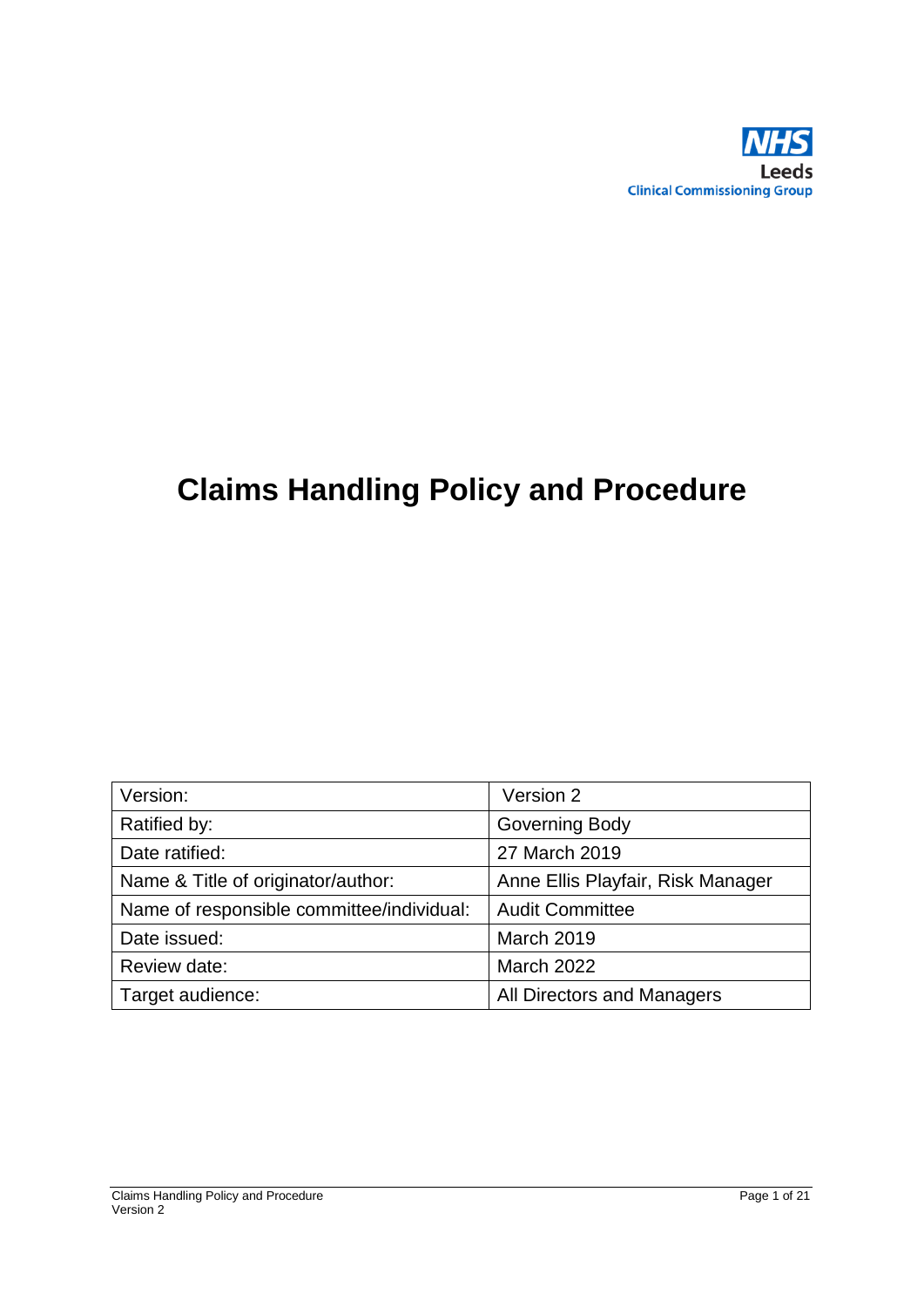

# **Claims Handling Policy and Procedure**

| Version:                                  | Version 2                         |
|-------------------------------------------|-----------------------------------|
| Ratified by:                              | <b>Governing Body</b>             |
| Date ratified:                            | 27 March 2019                     |
| Name & Title of originator/author:        | Anne Ellis Playfair, Risk Manager |
| Name of responsible committee/individual: | <b>Audit Committee</b>            |
| Date issued:                              | <b>March 2019</b>                 |
| Review date:                              | <b>March 2022</b>                 |
| Target audience:                          | All Directors and Managers        |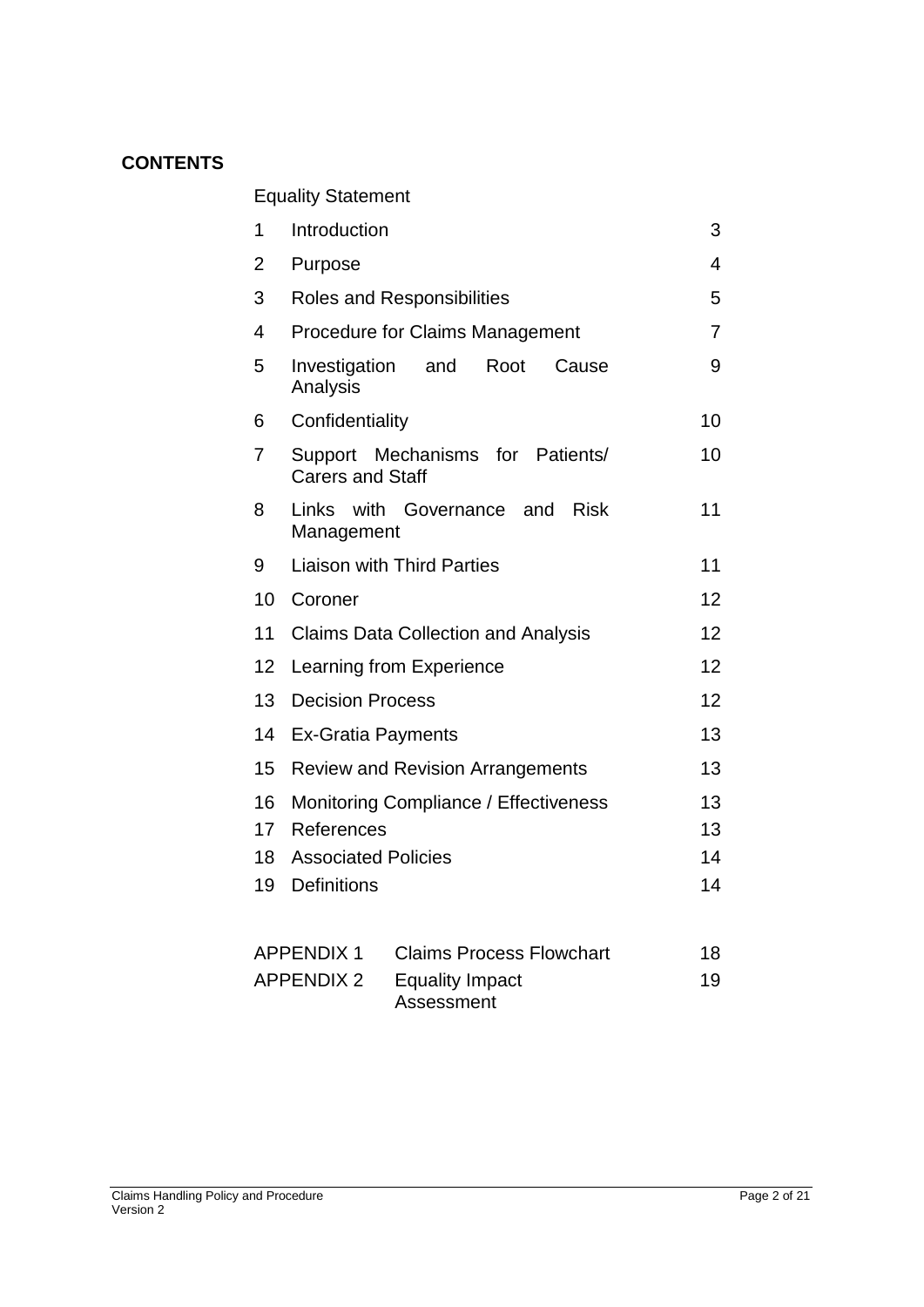## **CONTENTS**

Equality Statement

| 1  | Introduction                                                      | 3  |
|----|-------------------------------------------------------------------|----|
| 2  | Purpose                                                           | 4  |
| 3  | <b>Roles and Responsibilities</b>                                 | 5  |
| 4  | <b>Procedure for Claims Management</b>                            | 7  |
| 5  | Investigation<br>and<br>Root<br>Cause<br>Analysis                 | 9  |
| 6  | Confidentiality                                                   | 10 |
| 7  | Mechanisms for<br>Support<br>Patients/<br><b>Carers and Staff</b> | 10 |
| 8  | Links<br>with Governance<br><b>Risk</b><br>and<br>Management      | 11 |
| 9  | <b>Liaison with Third Parties</b>                                 | 11 |
| 10 | Coroner                                                           | 12 |
| 11 | <b>Claims Data Collection and Analysis</b>                        | 12 |
| 12 | Learning from Experience                                          | 12 |
| 13 | <b>Decision Process</b>                                           | 12 |
| 14 | <b>Ex-Gratia Payments</b>                                         |    |
| 15 | <b>Review and Revision Arrangements</b>                           | 13 |
| 16 | Monitoring Compliance / Effectiveness                             | 13 |
| 17 | References                                                        | 13 |
| 18 | <b>Associated Policies</b>                                        | 14 |
| 19 | Definitions                                                       | 14 |
|    | <b>APPENDIX 1</b><br><b>Claims Process Flowchart</b>              | 18 |
|    | <b>APPENDIX 2</b><br><b>Equality Impact</b>                       | 19 |

Assessment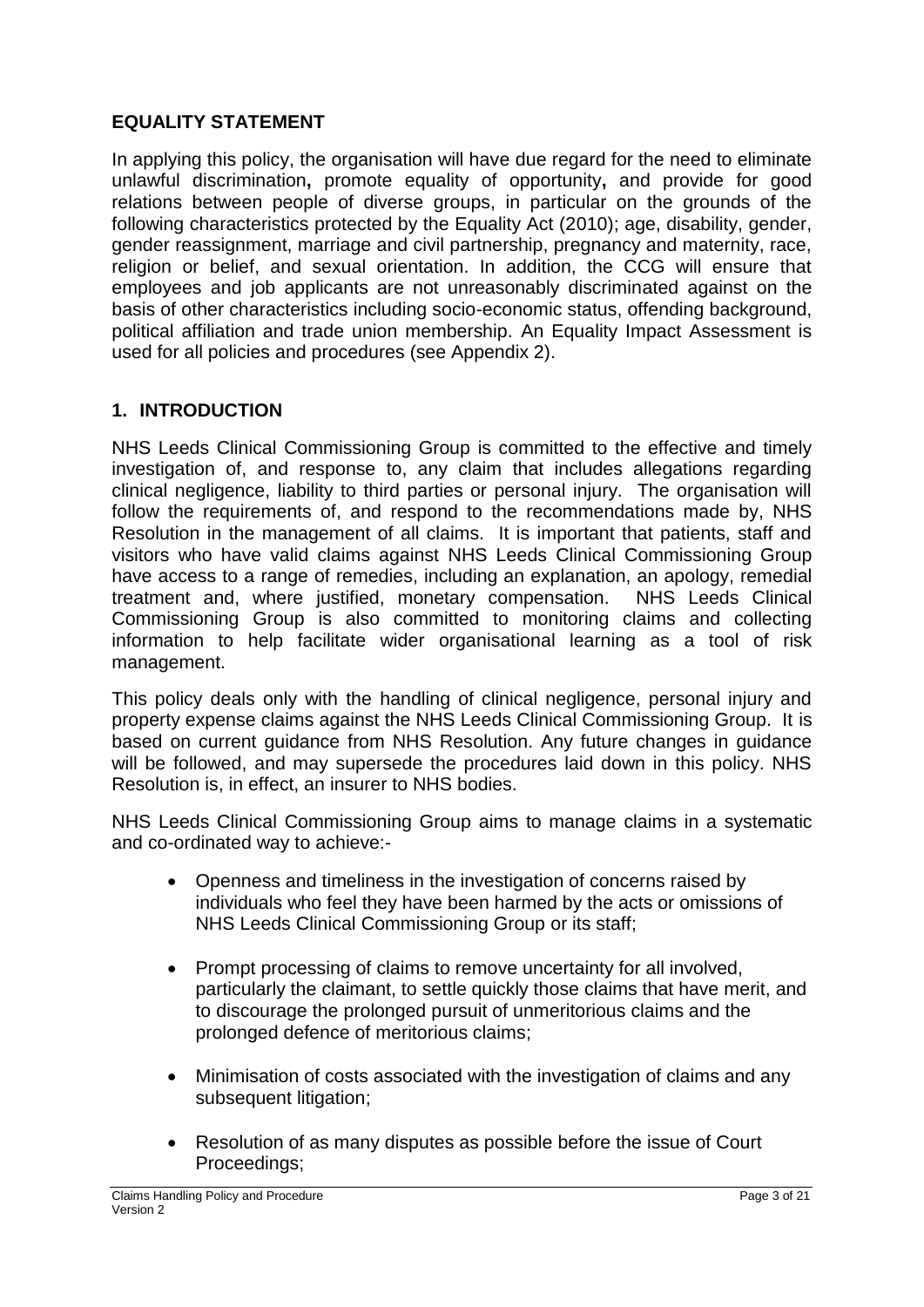## **EQUALITY STATEMENT**

In applying this policy, the organisation will have due regard for the need to eliminate unlawful discrimination**,** promote equality of opportunity**,** and provide for good relations between people of diverse groups, in particular on the grounds of the following characteristics protected by the Equality Act (2010); age, disability, gender, gender reassignment, marriage and civil partnership, pregnancy and maternity, race, religion or belief, and sexual orientation. In addition, the CCG will ensure that employees and job applicants are not unreasonably discriminated against on the basis of other characteristics including socio-economic status, offending background, political affiliation and trade union membership. An Equality Impact Assessment is used for all policies and procedures (see Appendix 2).

## **1. INTRODUCTION**

NHS Leeds Clinical Commissioning Group is committed to the effective and timely investigation of, and response to, any claim that includes allegations regarding clinical negligence, liability to third parties or personal injury. The organisation will follow the requirements of, and respond to the recommendations made by, NHS Resolution in the management of all claims. It is important that patients, staff and visitors who have valid claims against NHS Leeds Clinical Commissioning Group have access to a range of remedies, including an explanation, an apology, remedial treatment and, where justified, monetary compensation. NHS Leeds Clinical Commissioning Group is also committed to monitoring claims and collecting information to help facilitate wider organisational learning as a tool of risk management.

This policy deals only with the handling of clinical negligence, personal injury and property expense claims against the NHS Leeds Clinical Commissioning Group. It is based on current guidance from NHS Resolution. Any future changes in guidance will be followed, and may supersede the procedures laid down in this policy. NHS Resolution is, in effect, an insurer to NHS bodies.

NHS Leeds Clinical Commissioning Group aims to manage claims in a systematic and co-ordinated way to achieve:-

- Openness and timeliness in the investigation of concerns raised by individuals who feel they have been harmed by the acts or omissions of NHS Leeds Clinical Commissioning Group or its staff;
- Prompt processing of claims to remove uncertainty for all involved. particularly the claimant, to settle quickly those claims that have merit, and to discourage the prolonged pursuit of unmeritorious claims and the prolonged defence of meritorious claims;
- Minimisation of costs associated with the investigation of claims and any subsequent litigation;
- Resolution of as many disputes as possible before the issue of Court Proceedings;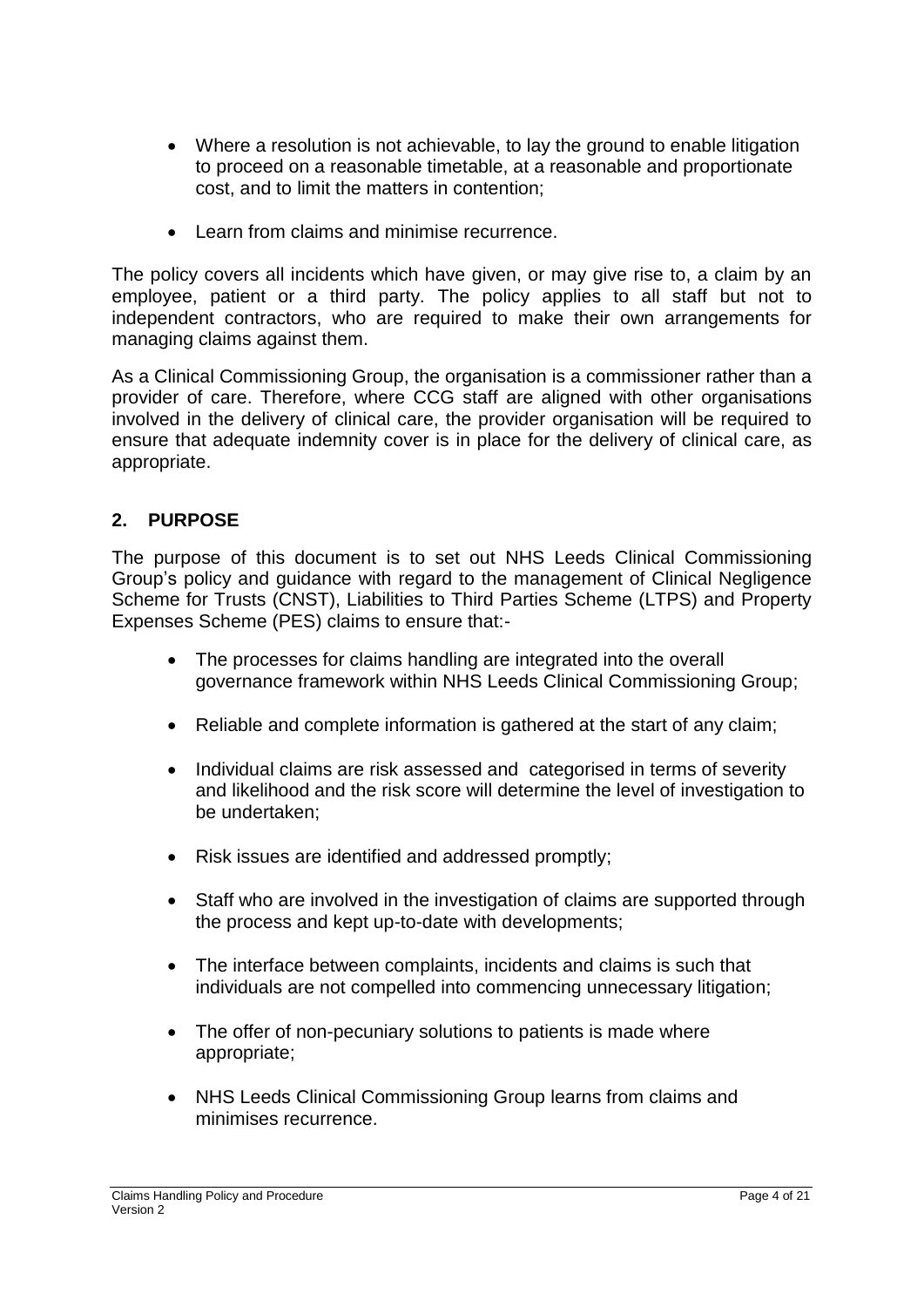- Where a resolution is not achievable, to lay the ground to enable litigation to proceed on a reasonable timetable, at a reasonable and proportionate cost, and to limit the matters in contention;
- Learn from claims and minimise recurrence.

The policy covers all incidents which have given, or may give rise to, a claim by an employee, patient or a third party. The policy applies to all staff but not to independent contractors, who are required to make their own arrangements for managing claims against them.

As a Clinical Commissioning Group, the organisation is a commissioner rather than a provider of care. Therefore, where CCG staff are aligned with other organisations involved in the delivery of clinical care, the provider organisation will be required to ensure that adequate indemnity cover is in place for the delivery of clinical care, as appropriate.

### **2. PURPOSE**

The purpose of this document is to set out NHS Leeds Clinical Commissioning Group's policy and guidance with regard to the management of Clinical Negligence Scheme for Trusts (CNST), Liabilities to Third Parties Scheme (LTPS) and Property Expenses Scheme (PES) claims to ensure that:-

- The processes for claims handling are integrated into the overall governance framework within NHS Leeds Clinical Commissioning Group;
- Reliable and complete information is gathered at the start of any claim;
- Individual claims are risk assessed and categorised in terms of severity and likelihood and the risk score will determine the level of investigation to be undertaken;
- Risk issues are identified and addressed promptly;
- Staff who are involved in the investigation of claims are supported through the process and kept up-to-date with developments;
- The interface between complaints, incidents and claims is such that individuals are not compelled into commencing unnecessary litigation;
- The offer of non-pecuniary solutions to patients is made where appropriate;
- NHS Leeds Clinical Commissioning Group learns from claims and minimises recurrence.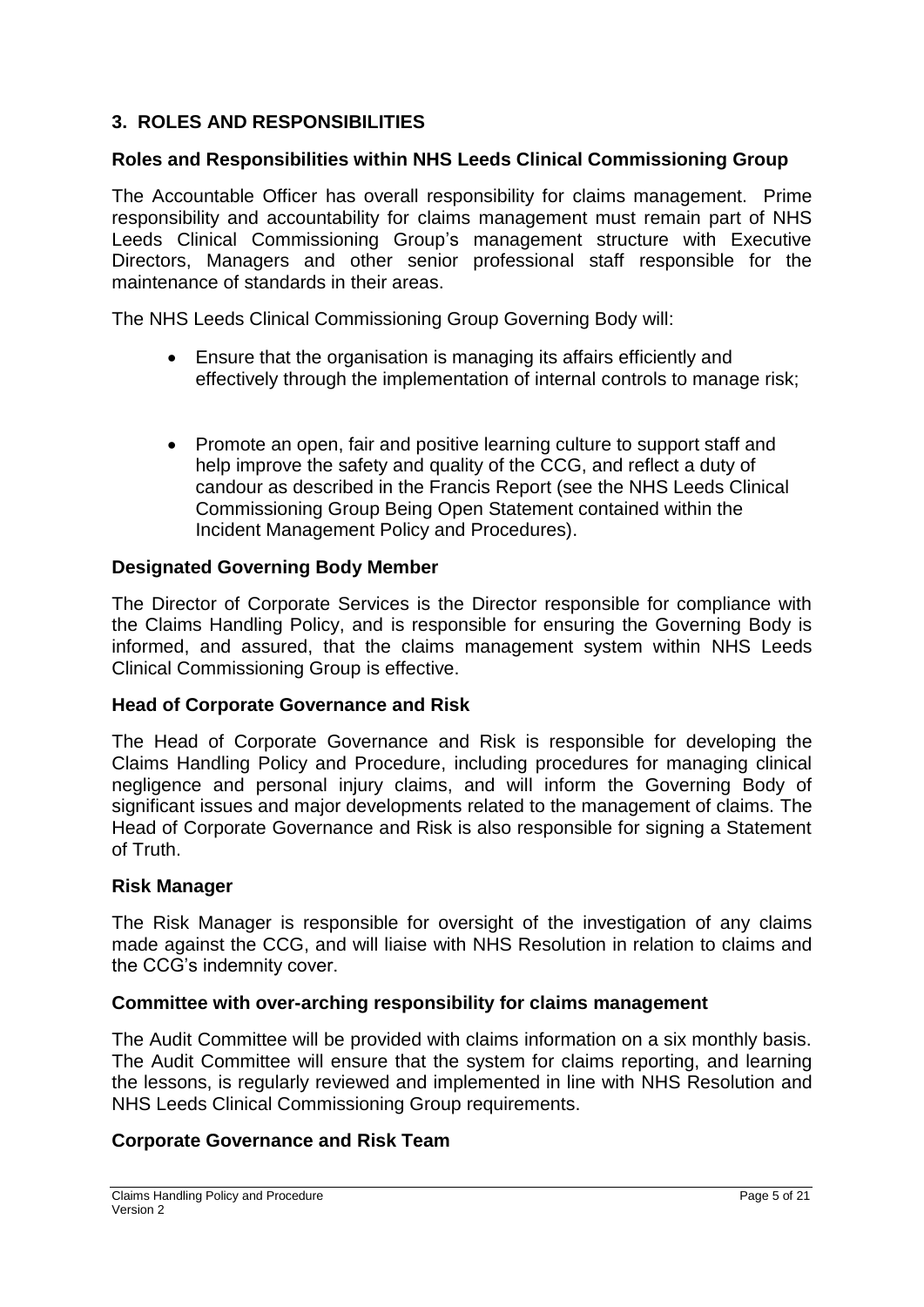### **3. ROLES AND RESPONSIBILITIES**

#### **Roles and Responsibilities within NHS Leeds Clinical Commissioning Group**

The Accountable Officer has overall responsibility for claims management. Prime responsibility and accountability for claims management must remain part of NHS Leeds Clinical Commissioning Group's management structure with Executive Directors, Managers and other senior professional staff responsible for the maintenance of standards in their areas.

The NHS Leeds Clinical Commissioning Group Governing Body will:

- Ensure that the organisation is managing its affairs efficiently and effectively through the implementation of internal controls to manage risk;
- Promote an open, fair and positive learning culture to support staff and help improve the safety and quality of the CCG, and reflect a duty of candour as described in the Francis Report (see the NHS Leeds Clinical Commissioning Group Being Open Statement contained within the Incident Management Policy and Procedures).

#### **Designated Governing Body Member**

The Director of Corporate Services is the Director responsible for compliance with the Claims Handling Policy, and is responsible for ensuring the Governing Body is informed, and assured, that the claims management system within NHS Leeds Clinical Commissioning Group is effective.

#### **Head of Corporate Governance and Risk**

The Head of Corporate Governance and Risk is responsible for developing the Claims Handling Policy and Procedure, including procedures for managing clinical negligence and personal injury claims, and will inform the Governing Body of significant issues and major developments related to the management of claims. The Head of Corporate Governance and Risk is also responsible for signing a Statement of Truth.

#### **Risk Manager**

The Risk Manager is responsible for oversight of the investigation of any claims made against the CCG, and will liaise with NHS Resolution in relation to claims and the CCG's indemnity cover.

#### **Committee with over-arching responsibility for claims management**

The Audit Committee will be provided with claims information on a six monthly basis. The Audit Committee will ensure that the system for claims reporting, and learning the lessons, is regularly reviewed and implemented in line with NHS Resolution and NHS Leeds Clinical Commissioning Group requirements.

#### **Corporate Governance and Risk Team**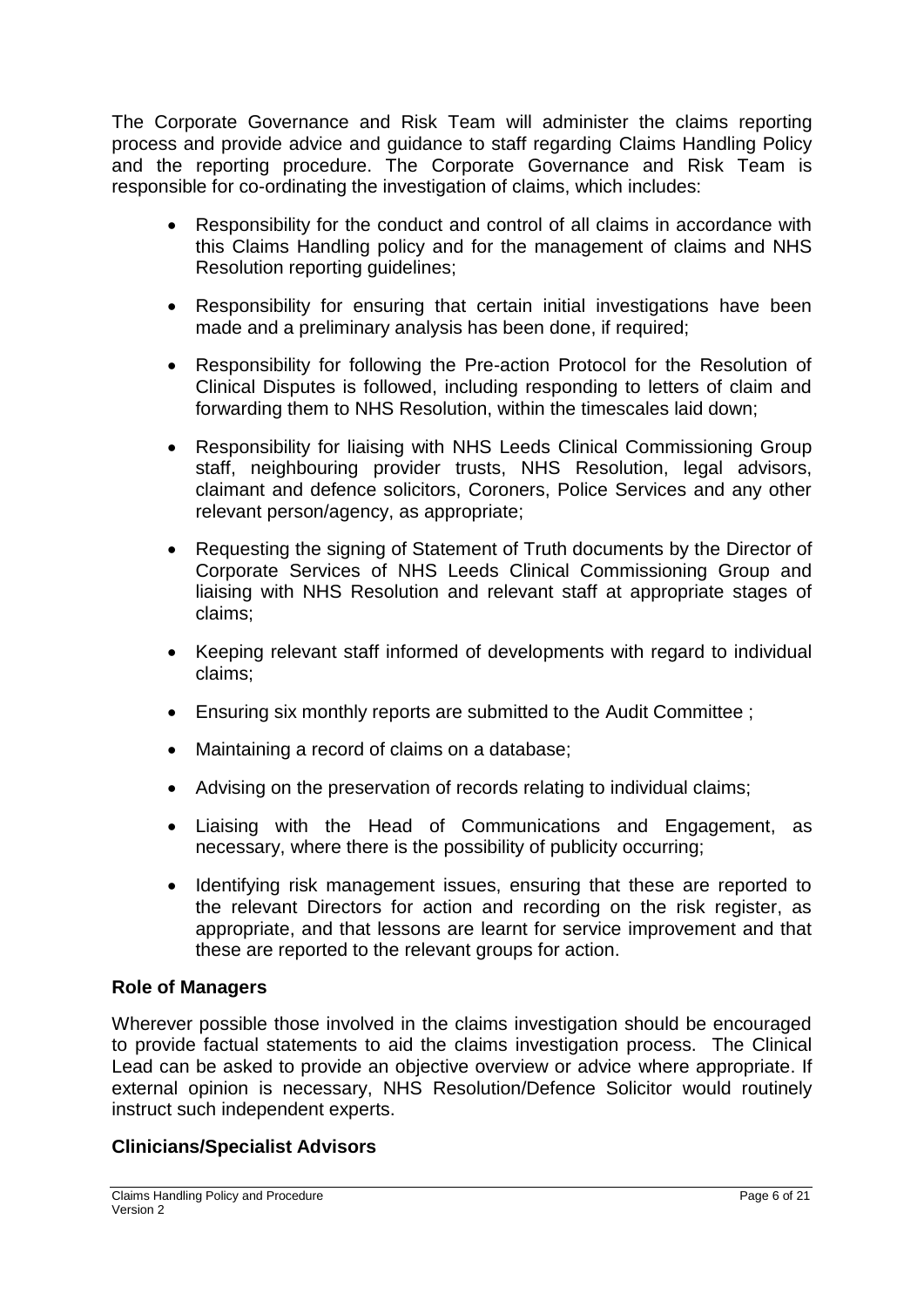The Corporate Governance and Risk Team will administer the claims reporting process and provide advice and guidance to staff regarding Claims Handling Policy and the reporting procedure. The Corporate Governance and Risk Team is responsible for co-ordinating the investigation of claims, which includes:

- Responsibility for the conduct and control of all claims in accordance with this Claims Handling policy and for the management of claims and NHS Resolution reporting guidelines;
- Responsibility for ensuring that certain initial investigations have been made and a preliminary analysis has been done, if required;
- Responsibility for following the Pre-action Protocol for the Resolution of Clinical Disputes is followed, including responding to letters of claim and forwarding them to NHS Resolution, within the timescales laid down;
- Responsibility for liaising with NHS Leeds Clinical Commissioning Group staff, neighbouring provider trusts, NHS Resolution, legal advisors, claimant and defence solicitors, Coroners, Police Services and any other relevant person/agency, as appropriate;
- Requesting the signing of Statement of Truth documents by the Director of Corporate Services of NHS Leeds Clinical Commissioning Group and liaising with NHS Resolution and relevant staff at appropriate stages of claims;
- Keeping relevant staff informed of developments with regard to individual claims;
- Ensuring six monthly reports are submitted to the Audit Committee ;
- Maintaining a record of claims on a database;
- Advising on the preservation of records relating to individual claims;
- Liaising with the Head of Communications and Engagement, as necessary, where there is the possibility of publicity occurring;
- Identifying risk management issues, ensuring that these are reported to the relevant Directors for action and recording on the risk register, as appropriate, and that lessons are learnt for service improvement and that these are reported to the relevant groups for action.

### **Role of Managers**

Wherever possible those involved in the claims investigation should be encouraged to provide factual statements to aid the claims investigation process. The Clinical Lead can be asked to provide an objective overview or advice where appropriate. If external opinion is necessary, NHS Resolution/Defence Solicitor would routinely instruct such independent experts.

### **Clinicians/Specialist Advisors**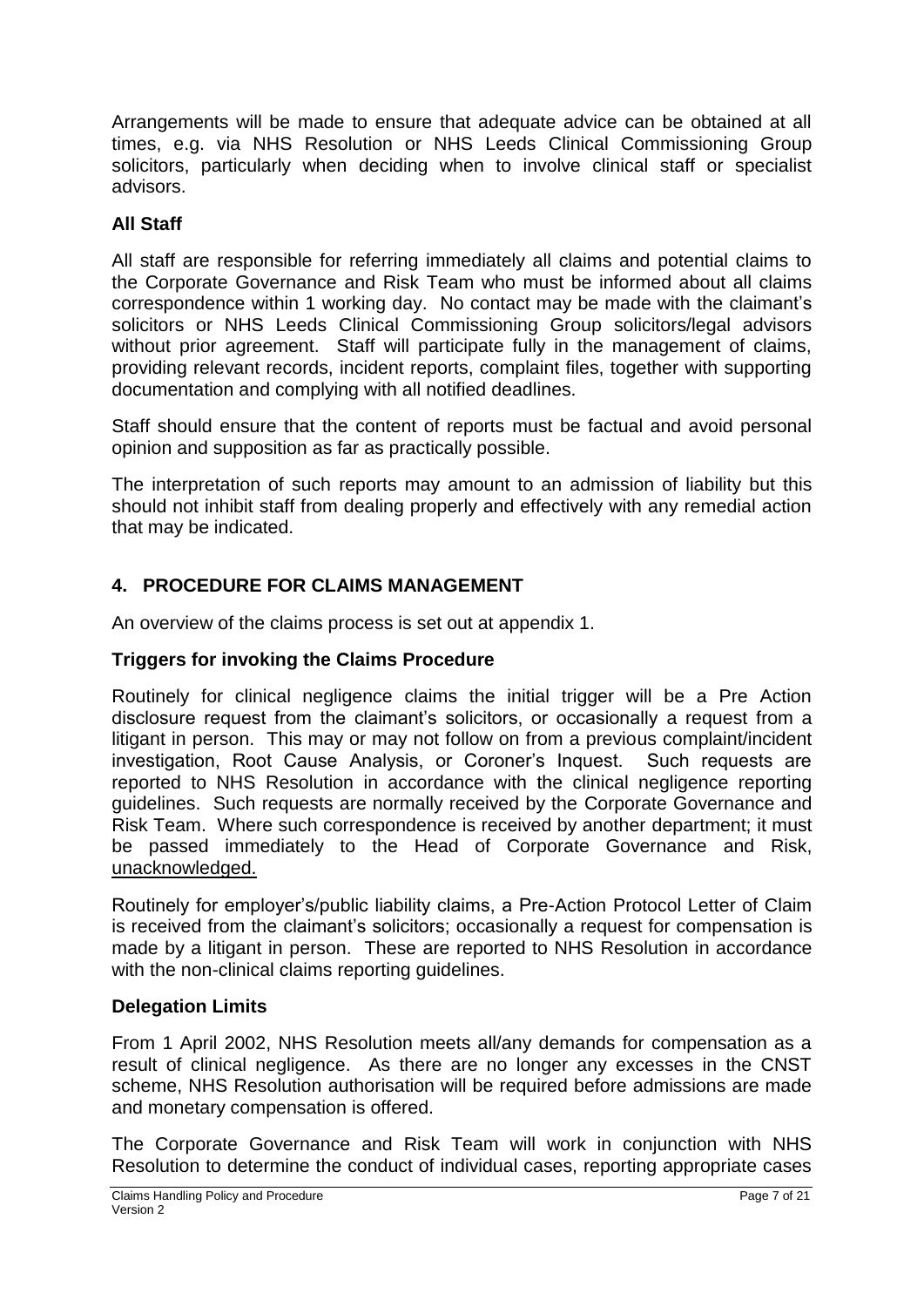Arrangements will be made to ensure that adequate advice can be obtained at all times, e.g. via NHS Resolution or NHS Leeds Clinical Commissioning Group solicitors, particularly when deciding when to involve clinical staff or specialist advisors.

## **All Staff**

All staff are responsible for referring immediately all claims and potential claims to the Corporate Governance and Risk Team who must be informed about all claims correspondence within 1 working day. No contact may be made with the claimant's solicitors or NHS Leeds Clinical Commissioning Group solicitors/legal advisors without prior agreement. Staff will participate fully in the management of claims, providing relevant records, incident reports, complaint files, together with supporting documentation and complying with all notified deadlines.

Staff should ensure that the content of reports must be factual and avoid personal opinion and supposition as far as practically possible.

The interpretation of such reports may amount to an admission of liability but this should not inhibit staff from dealing properly and effectively with any remedial action that may be indicated.

## **4. PROCEDURE FOR CLAIMS MANAGEMENT**

An overview of the claims process is set out at appendix 1.

#### **Triggers for invoking the Claims Procedure**

Routinely for clinical negligence claims the initial trigger will be a Pre Action disclosure request from the claimant's solicitors, or occasionally a request from a litigant in person. This may or may not follow on from a previous complaint/incident investigation, Root Cause Analysis, or Coroner's Inquest. Such requests are reported to NHS Resolution in accordance with the clinical negligence reporting guidelines. Such requests are normally received by the Corporate Governance and Risk Team. Where such correspondence is received by another department; it must be passed immediately to the Head of Corporate Governance and Risk, unacknowledged.

Routinely for employer's/public liability claims, a Pre-Action Protocol Letter of Claim is received from the claimant's solicitors; occasionally a request for compensation is made by a litigant in person. These are reported to NHS Resolution in accordance with the non-clinical claims reporting guidelines.

#### **Delegation Limits**

From 1 April 2002, NHS Resolution meets all/any demands for compensation as a result of clinical negligence. As there are no longer any excesses in the CNST scheme, NHS Resolution authorisation will be required before admissions are made and monetary compensation is offered.

The Corporate Governance and Risk Team will work in conjunction with NHS Resolution to determine the conduct of individual cases, reporting appropriate cases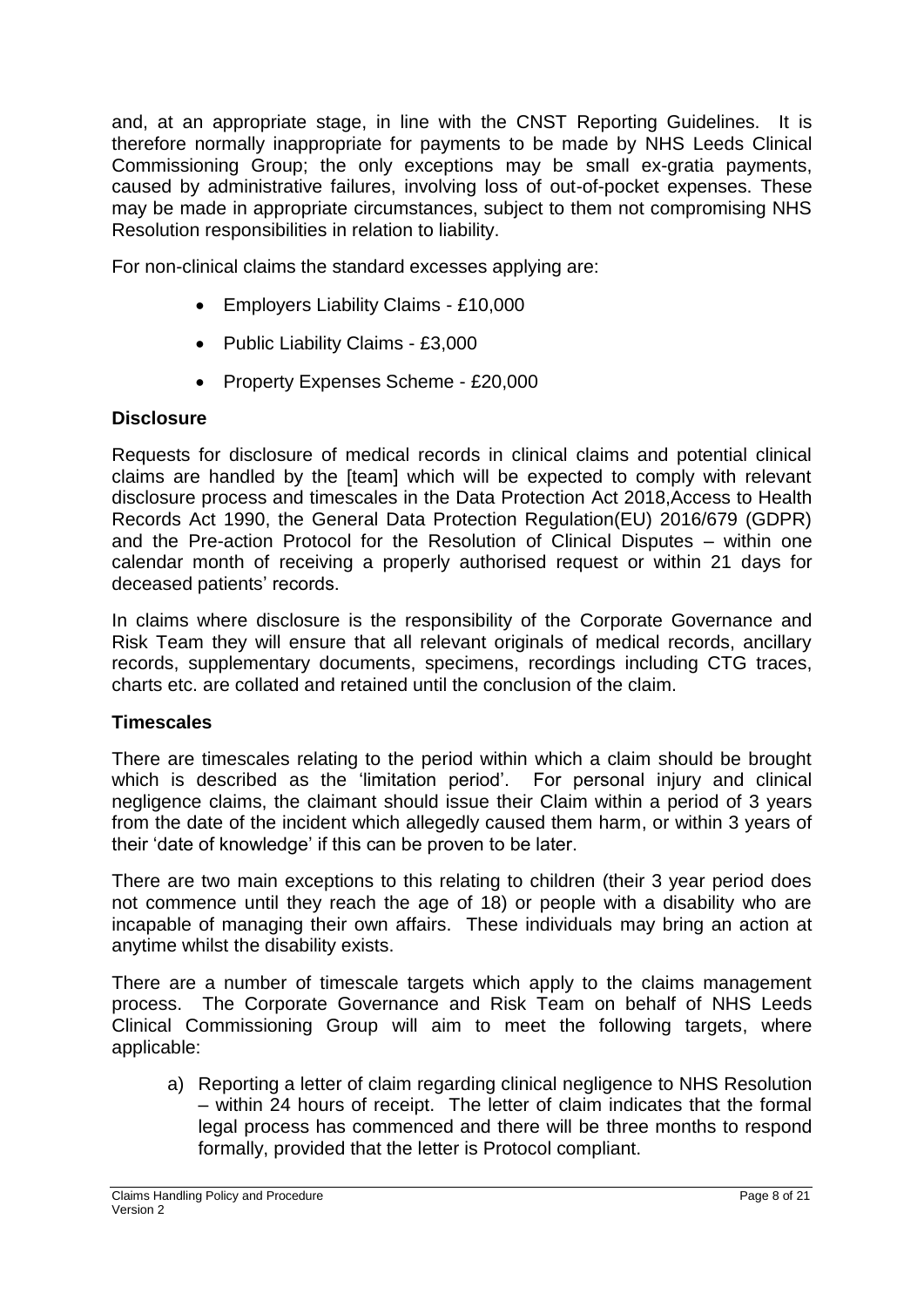and, at an appropriate stage, in line with the CNST Reporting Guidelines. It is therefore normally inappropriate for payments to be made by NHS Leeds Clinical Commissioning Group; the only exceptions may be small ex-gratia payments, caused by administrative failures, involving loss of out-of-pocket expenses. These may be made in appropriate circumstances, subject to them not compromising NHS Resolution responsibilities in relation to liability.

For non-clinical claims the standard excesses applying are:

- Employers Liability Claims £10,000
- Public Liability Claims £3,000
- Property Expenses Scheme £20,000

### **Disclosure**

Requests for disclosure of medical records in clinical claims and potential clinical claims are handled by the [team] which will be expected to comply with relevant disclosure process and timescales in the Data Protection Act 2018,Access to Health Records Act 1990, the General Data Protection Regulation(EU) 2016/679 (GDPR) and the Pre-action Protocol for the Resolution of Clinical Disputes – within one calendar month of receiving a properly authorised request or within 21 days for deceased patients' records.

In claims where disclosure is the responsibility of the Corporate Governance and Risk Team they will ensure that all relevant originals of medical records, ancillary records, supplementary documents, specimens, recordings including CTG traces, charts etc. are collated and retained until the conclusion of the claim.

#### **Timescales**

There are timescales relating to the period within which a claim should be brought which is described as the 'limitation period'. For personal injury and clinical negligence claims, the claimant should issue their Claim within a period of 3 years from the date of the incident which allegedly caused them harm, or within 3 years of their 'date of knowledge' if this can be proven to be later.

There are two main exceptions to this relating to children (their 3 year period does not commence until they reach the age of 18) or people with a disability who are incapable of managing their own affairs. These individuals may bring an action at anytime whilst the disability exists.

There are a number of timescale targets which apply to the claims management process. The Corporate Governance and Risk Team on behalf of NHS Leeds Clinical Commissioning Group will aim to meet the following targets, where applicable:

a) Reporting a letter of claim regarding clinical negligence to NHS Resolution – within 24 hours of receipt. The letter of claim indicates that the formal legal process has commenced and there will be three months to respond formally, provided that the letter is Protocol compliant.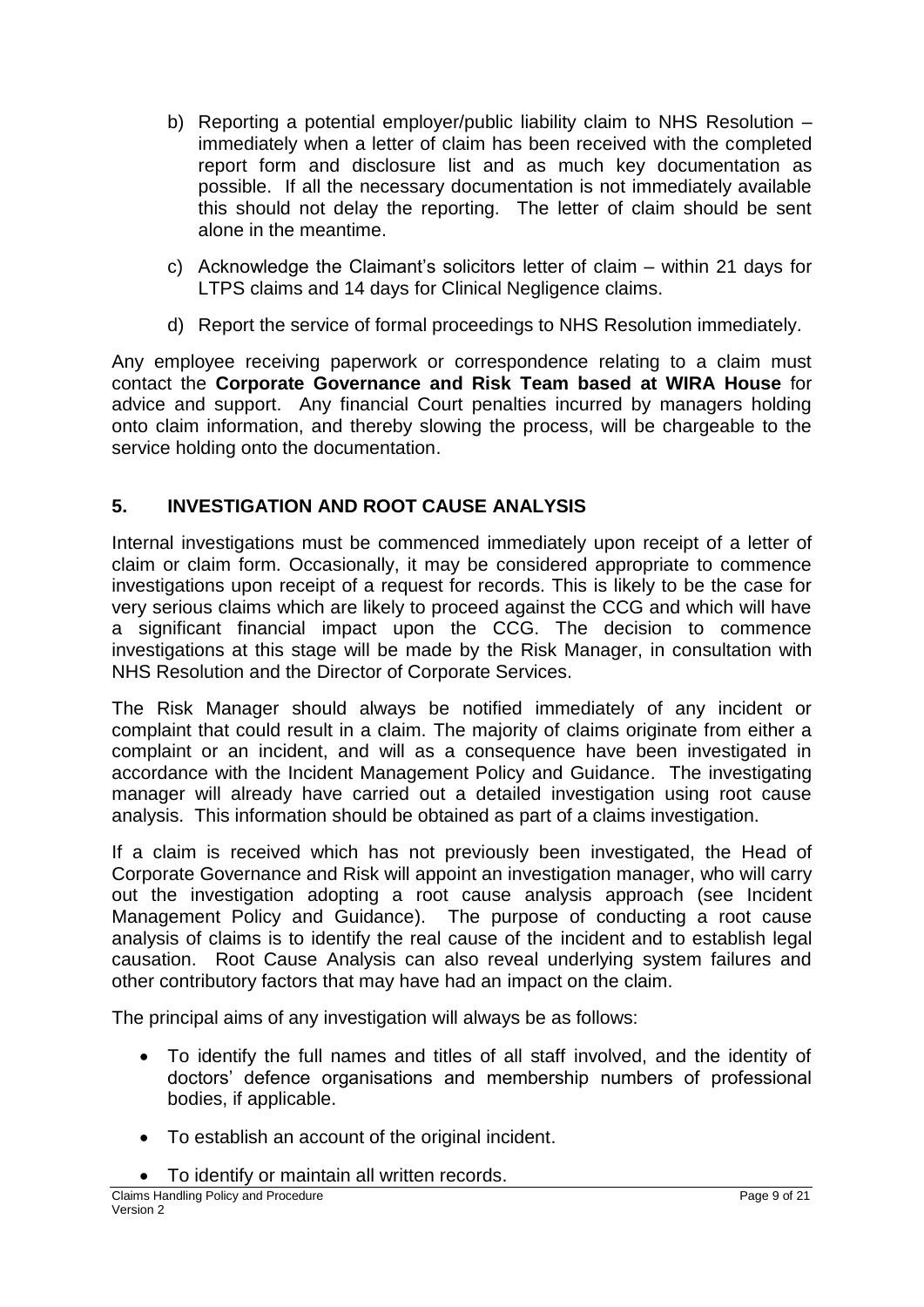- b) Reporting a potential employer/public liability claim to NHS Resolution immediately when a letter of claim has been received with the completed report form and disclosure list and as much key documentation as possible. If all the necessary documentation is not immediately available this should not delay the reporting. The letter of claim should be sent alone in the meantime.
- c) Acknowledge the Claimant's solicitors letter of claim within 21 days for LTPS claims and 14 days for Clinical Negligence claims.
- d) Report the service of formal proceedings to NHS Resolution immediately.

Any employee receiving paperwork or correspondence relating to a claim must contact the **Corporate Governance and Risk Team based at WIRA House** for advice and support. Any financial Court penalties incurred by managers holding onto claim information, and thereby slowing the process, will be chargeable to the service holding onto the documentation.

## **5. INVESTIGATION AND ROOT CAUSE ANALYSIS**

Internal investigations must be commenced immediately upon receipt of a letter of claim or claim form. Occasionally, it may be considered appropriate to commence investigations upon receipt of a request for records. This is likely to be the case for very serious claims which are likely to proceed against the CCG and which will have a significant financial impact upon the CCG. The decision to commence investigations at this stage will be made by the Risk Manager, in consultation with NHS Resolution and the Director of Corporate Services.

The Risk Manager should always be notified immediately of any incident or complaint that could result in a claim. The majority of claims originate from either a complaint or an incident, and will as a consequence have been investigated in accordance with the Incident Management Policy and Guidance. The investigating manager will already have carried out a detailed investigation using root cause analysis. This information should be obtained as part of a claims investigation.

If a claim is received which has not previously been investigated, the Head of Corporate Governance and Risk will appoint an investigation manager, who will carry out the investigation adopting a root cause analysis approach (see Incident Management Policy and Guidance). The purpose of conducting a root cause analysis of claims is to identify the real cause of the incident and to establish legal causation. Root Cause Analysis can also reveal underlying system failures and other contributory factors that may have had an impact on the claim.

The principal aims of any investigation will always be as follows:

- To identify the full names and titles of all staff involved, and the identity of doctors' defence organisations and membership numbers of professional bodies, if applicable.
- To establish an account of the original incident.
- To identify or maintain all written records.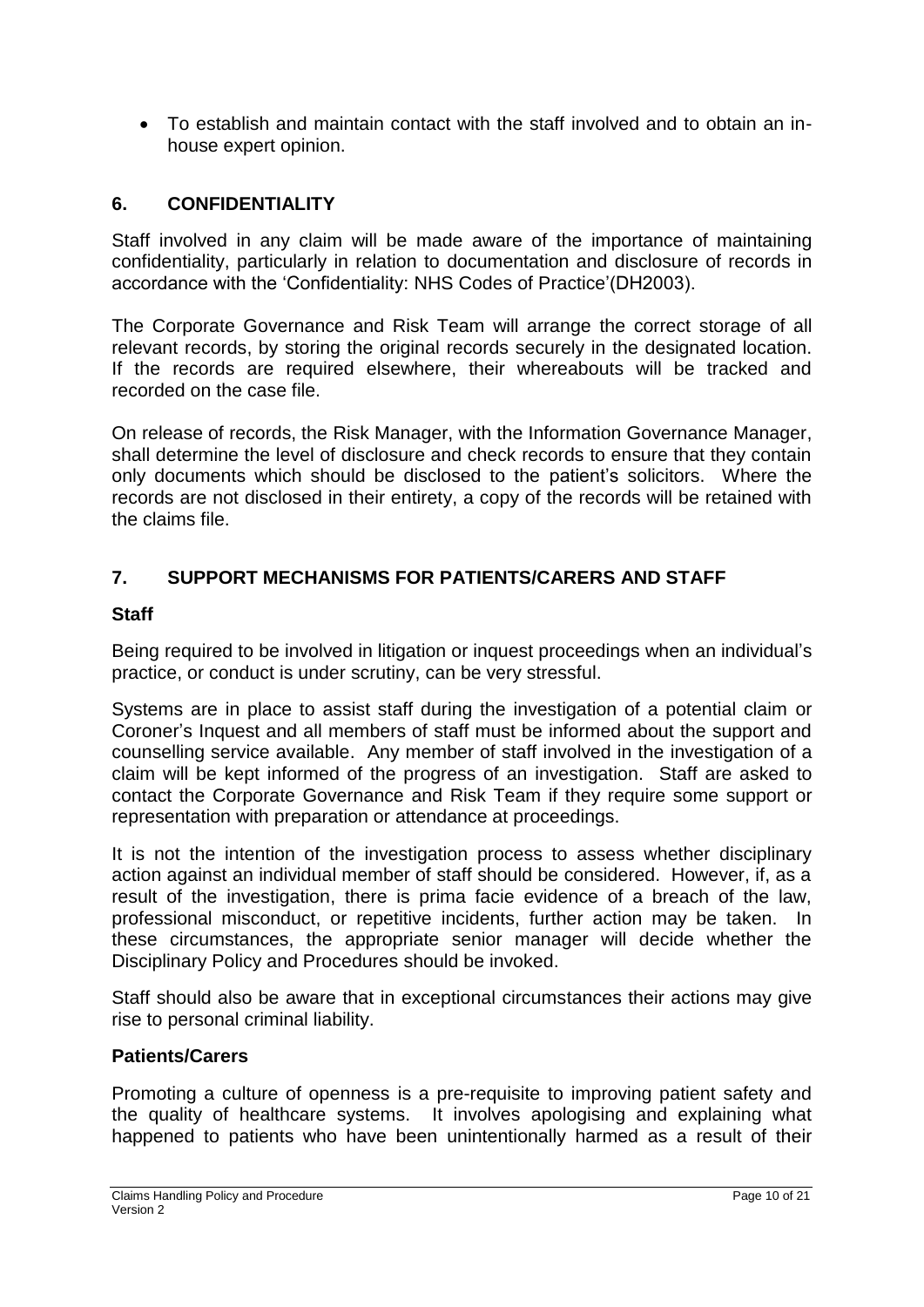To establish and maintain contact with the staff involved and to obtain an inhouse expert opinion.

### **6. CONFIDENTIALITY**

Staff involved in any claim will be made aware of the importance of maintaining confidentiality, particularly in relation to documentation and disclosure of records in accordance with the 'Confidentiality: NHS Codes of Practice'(DH2003).

The Corporate Governance and Risk Team will arrange the correct storage of all relevant records, by storing the original records securely in the designated location. If the records are required elsewhere, their whereabouts will be tracked and recorded on the case file.

On release of records, the Risk Manager, with the Information Governance Manager, shall determine the level of disclosure and check records to ensure that they contain only documents which should be disclosed to the patient's solicitors. Where the records are not disclosed in their entirety, a copy of the records will be retained with the claims file.

## **7. SUPPORT MECHANISMS FOR PATIENTS/CARERS AND STAFF**

#### **Staff**

Being required to be involved in litigation or inquest proceedings when an individual's practice, or conduct is under scrutiny, can be very stressful.

Systems are in place to assist staff during the investigation of a potential claim or Coroner's Inquest and all members of staff must be informed about the support and counselling service available. Any member of staff involved in the investigation of a claim will be kept informed of the progress of an investigation. Staff are asked to contact the Corporate Governance and Risk Team if they require some support or representation with preparation or attendance at proceedings.

It is not the intention of the investigation process to assess whether disciplinary action against an individual member of staff should be considered. However, if, as a result of the investigation, there is prima facie evidence of a breach of the law, professional misconduct, or repetitive incidents, further action may be taken. In these circumstances, the appropriate senior manager will decide whether the Disciplinary Policy and Procedures should be invoked.

Staff should also be aware that in exceptional circumstances their actions may give rise to personal criminal liability.

#### **Patients/Carers**

Promoting a culture of openness is a pre-requisite to improving patient safety and the quality of healthcare systems. It involves apologising and explaining what happened to patients who have been unintentionally harmed as a result of their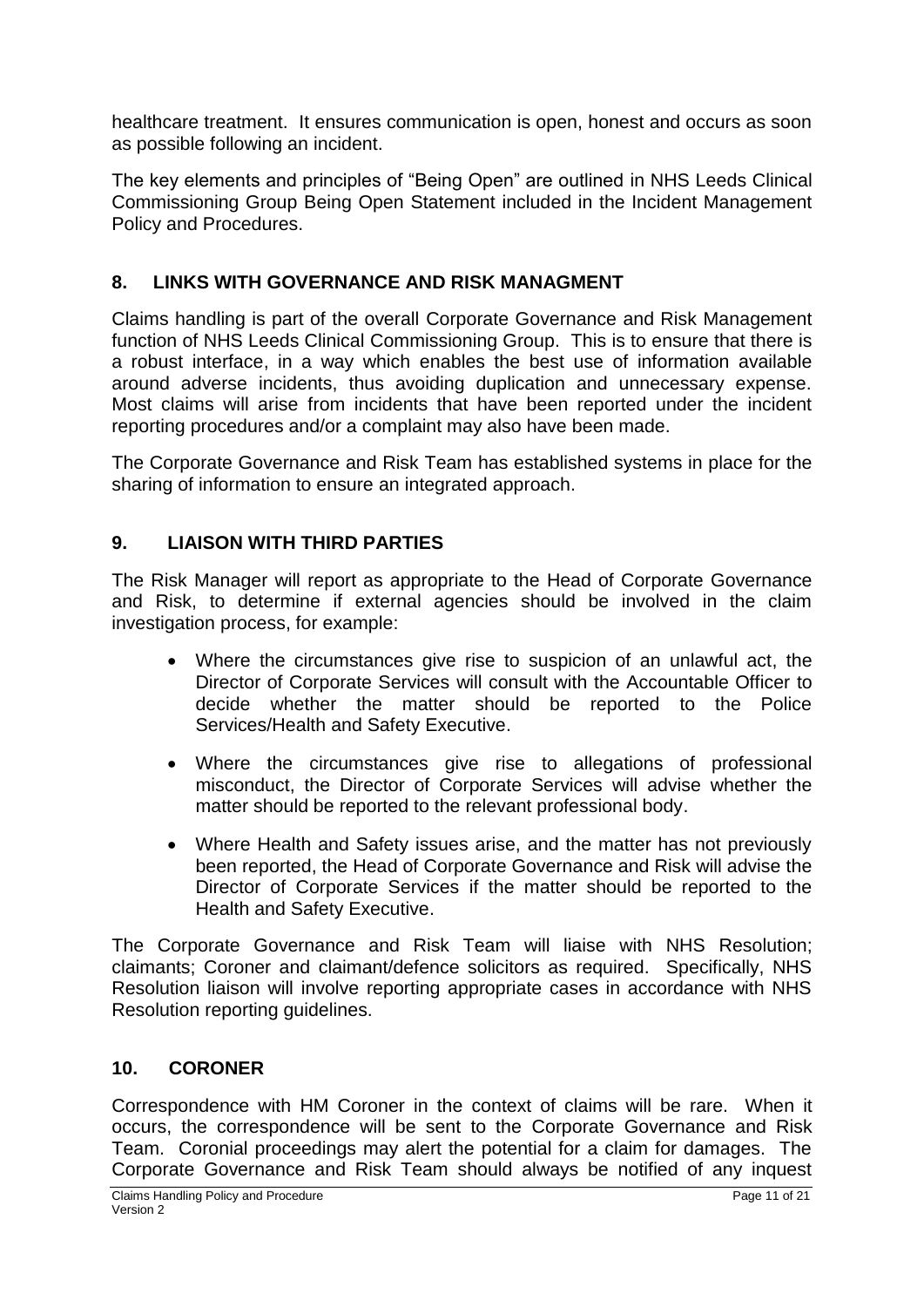healthcare treatment. It ensures communication is open, honest and occurs as soon as possible following an incident.

The key elements and principles of "Being Open" are outlined in NHS Leeds Clinical Commissioning Group Being Open Statement included in the Incident Management Policy and Procedures.

## **8. LINKS WITH GOVERNANCE AND RISK MANAGMENT**

Claims handling is part of the overall Corporate Governance and Risk Management function of NHS Leeds Clinical Commissioning Group. This is to ensure that there is a robust interface, in a way which enables the best use of information available around adverse incidents, thus avoiding duplication and unnecessary expense. Most claims will arise from incidents that have been reported under the incident reporting procedures and/or a complaint may also have been made.

The Corporate Governance and Risk Team has established systems in place for the sharing of information to ensure an integrated approach.

## **9. LIAISON WITH THIRD PARTIES**

The Risk Manager will report as appropriate to the Head of Corporate Governance and Risk, to determine if external agencies should be involved in the claim investigation process, for example:

- Where the circumstances give rise to suspicion of an unlawful act, the Director of Corporate Services will consult with the Accountable Officer to decide whether the matter should be reported to the Police Services/Health and Safety Executive.
- Where the circumstances give rise to allegations of professional misconduct, the Director of Corporate Services will advise whether the matter should be reported to the relevant professional body.
- Where Health and Safety issues arise, and the matter has not previously been reported, the Head of Corporate Governance and Risk will advise the Director of Corporate Services if the matter should be reported to the Health and Safety Executive.

The Corporate Governance and Risk Team will liaise with NHS Resolution; claimants; Coroner and claimant/defence solicitors as required. Specifically, NHS Resolution liaison will involve reporting appropriate cases in accordance with NHS Resolution reporting guidelines.

### **10. CORONER**

Correspondence with HM Coroner in the context of claims will be rare. When it occurs, the correspondence will be sent to the Corporate Governance and Risk Team. Coronial proceedings may alert the potential for a claim for damages. The Corporate Governance and Risk Team should always be notified of any inquest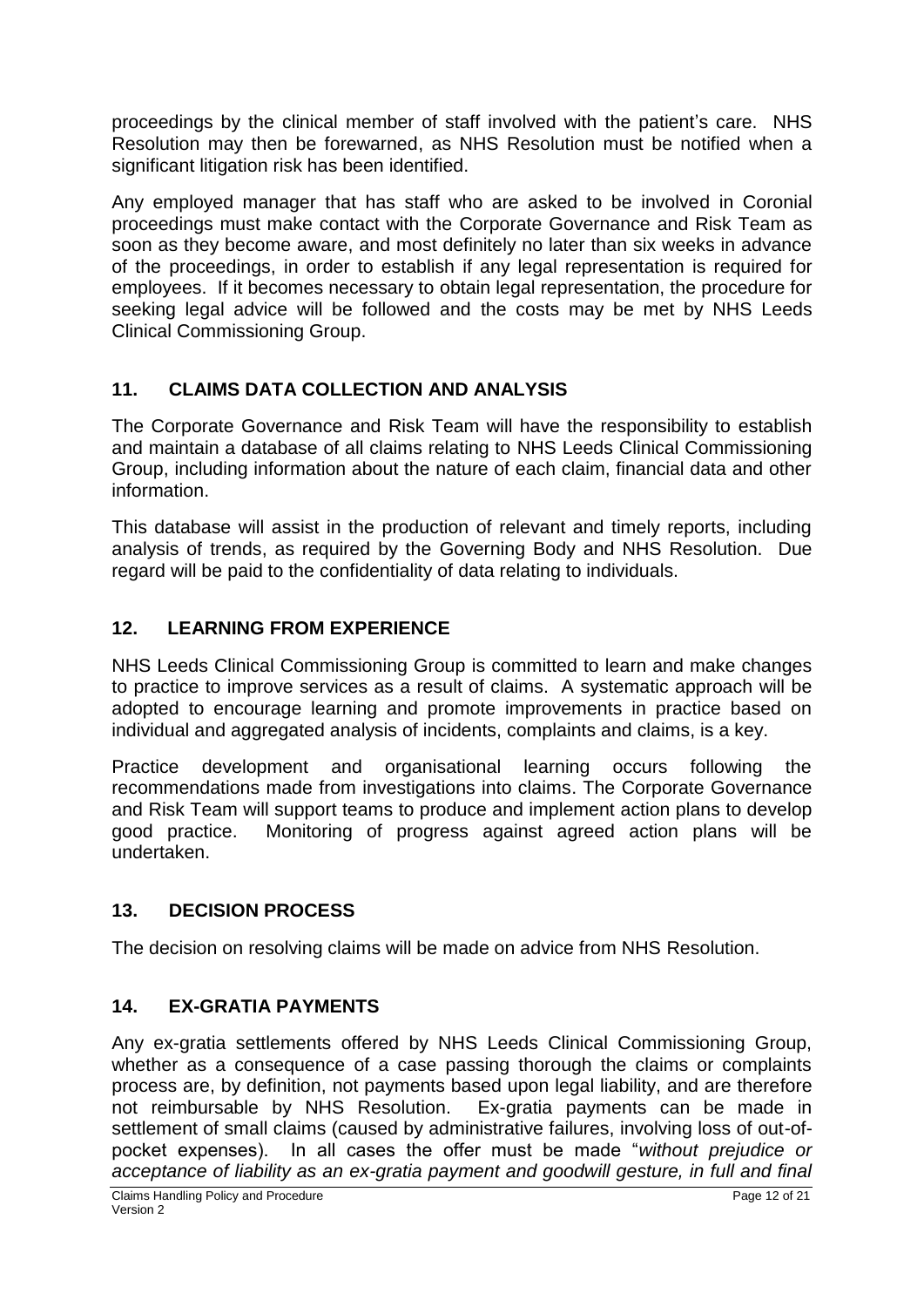proceedings by the clinical member of staff involved with the patient's care. NHS Resolution may then be forewarned, as NHS Resolution must be notified when a significant litigation risk has been identified.

Any employed manager that has staff who are asked to be involved in Coronial proceedings must make contact with the Corporate Governance and Risk Team as soon as they become aware, and most definitely no later than six weeks in advance of the proceedings, in order to establish if any legal representation is required for employees. If it becomes necessary to obtain legal representation, the procedure for seeking legal advice will be followed and the costs may be met by NHS Leeds Clinical Commissioning Group.

# **11. CLAIMS DATA COLLECTION AND ANALYSIS**

The Corporate Governance and Risk Team will have the responsibility to establish and maintain a database of all claims relating to NHS Leeds Clinical Commissioning Group, including information about the nature of each claim, financial data and other information.

This database will assist in the production of relevant and timely reports, including analysis of trends, as required by the Governing Body and NHS Resolution. Due regard will be paid to the confidentiality of data relating to individuals.

# **12. LEARNING FROM EXPERIENCE**

NHS Leeds Clinical Commissioning Group is committed to learn and make changes to practice to improve services as a result of claims. A systematic approach will be adopted to encourage learning and promote improvements in practice based on individual and aggregated analysis of incidents, complaints and claims, is a key.

Practice development and organisational learning occurs following the recommendations made from investigations into claims. The Corporate Governance and Risk Team will support teams to produce and implement action plans to develop good practice. Monitoring of progress against agreed action plans will be undertaken.

# **13. DECISION PROCESS**

The decision on resolving claims will be made on advice from NHS Resolution.

## **14. EX-GRATIA PAYMENTS**

Any ex-gratia settlements offered by NHS Leeds Clinical Commissioning Group, whether as a consequence of a case passing thorough the claims or complaints process are, by definition, not payments based upon legal liability, and are therefore not reimbursable by NHS Resolution. Ex-gratia payments can be made in settlement of small claims (caused by administrative failures, involving loss of out-ofpocket expenses). In all cases the offer must be made "*without prejudice or acceptance of liability as an ex-gratia payment and goodwill gesture, in full and final*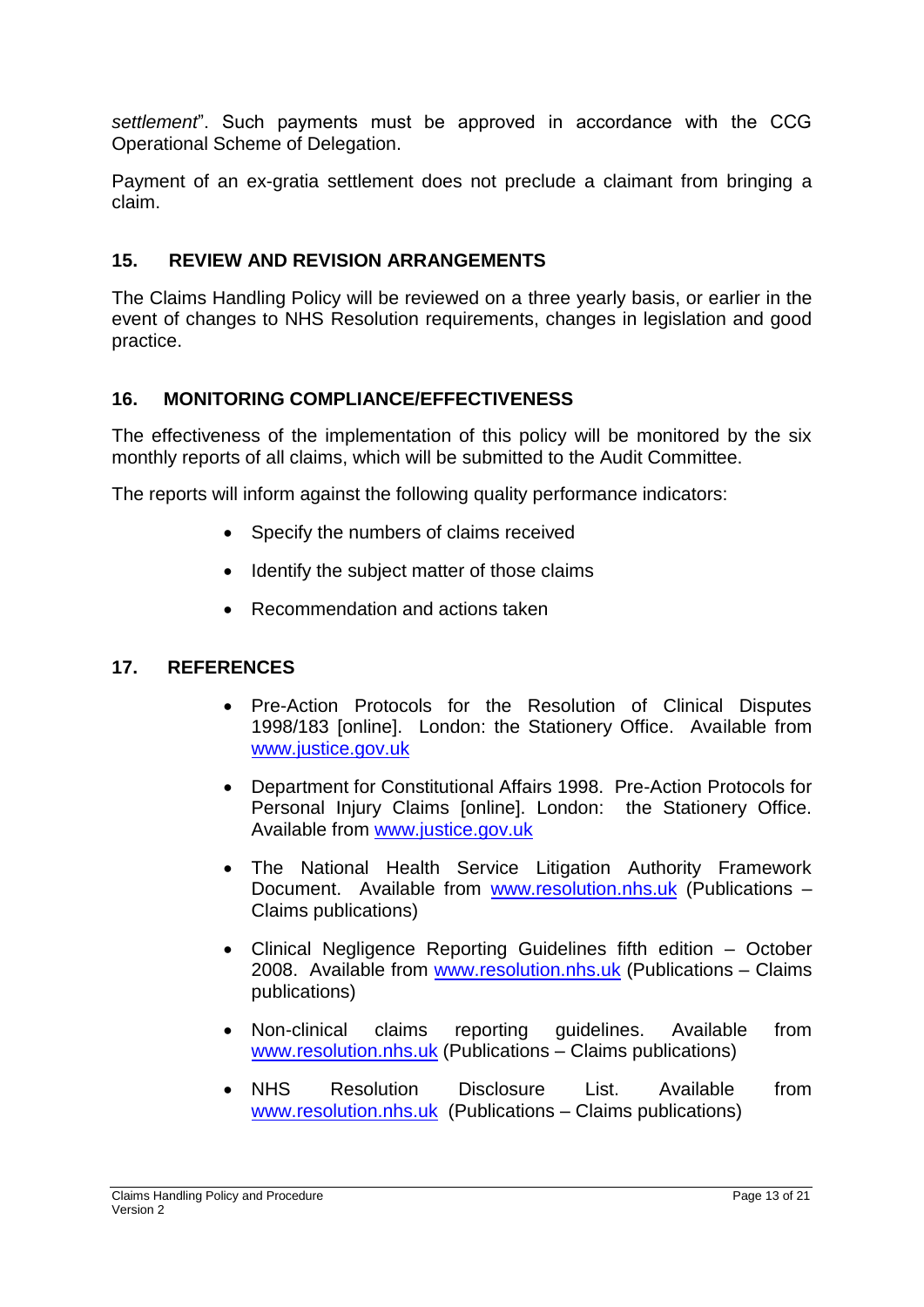*settlement*". Such payments must be approved in accordance with the CCG Operational Scheme of Delegation.

Payment of an ex-gratia settlement does not preclude a claimant from bringing a claim.

#### **15. REVIEW AND REVISION ARRANGEMENTS**

The Claims Handling Policy will be reviewed on a three yearly basis, or earlier in the event of changes to NHS Resolution requirements, changes in legislation and good practice.

#### **16. MONITORING COMPLIANCE/EFFECTIVENESS**

The effectiveness of the implementation of this policy will be monitored by the six monthly reports of all claims, which will be submitted to the Audit Committee.

The reports will inform against the following quality performance indicators:

- Specify the numbers of claims received
- Identify the subject matter of those claims
- Recommendation and actions taken

#### **17. REFERENCES**

- Pre-Action Protocols for the Resolution of Clinical Disputes 1998/183 [online]. London: the Stationery Office. Available from [www.justice.gov.uk](http://www.justice.gov.uk/)
- Department for Constitutional Affairs 1998. Pre-Action Protocols for Personal Injury Claims [online]. London: the Stationery Office. Available from [www.justice.gov.uk](http://www.justice.gov.uk/)
- The National Health Service Litigation Authority Framework Document. Available from [www.resolution.nhs.uk](http://www.resolution.nhs.uk/) (Publications – Claims publications)
- Clinical Negligence Reporting Guidelines fifth edition October 2008. Available from [www.resolution.nhs.uk](http://www.resolution.nhs.uk/) (Publications – Claims publications)
- Non-clinical claims reporting guidelines. Available from [www.resolution.nhs.uk](http://www.resolution.nhs.uk/) (Publications – Claims publications)
- NHS Resolution Disclosure List. Available from [www.resolution.nhs.uk](http://www.resolution.nhs.uk/) (Publications – Claims publications)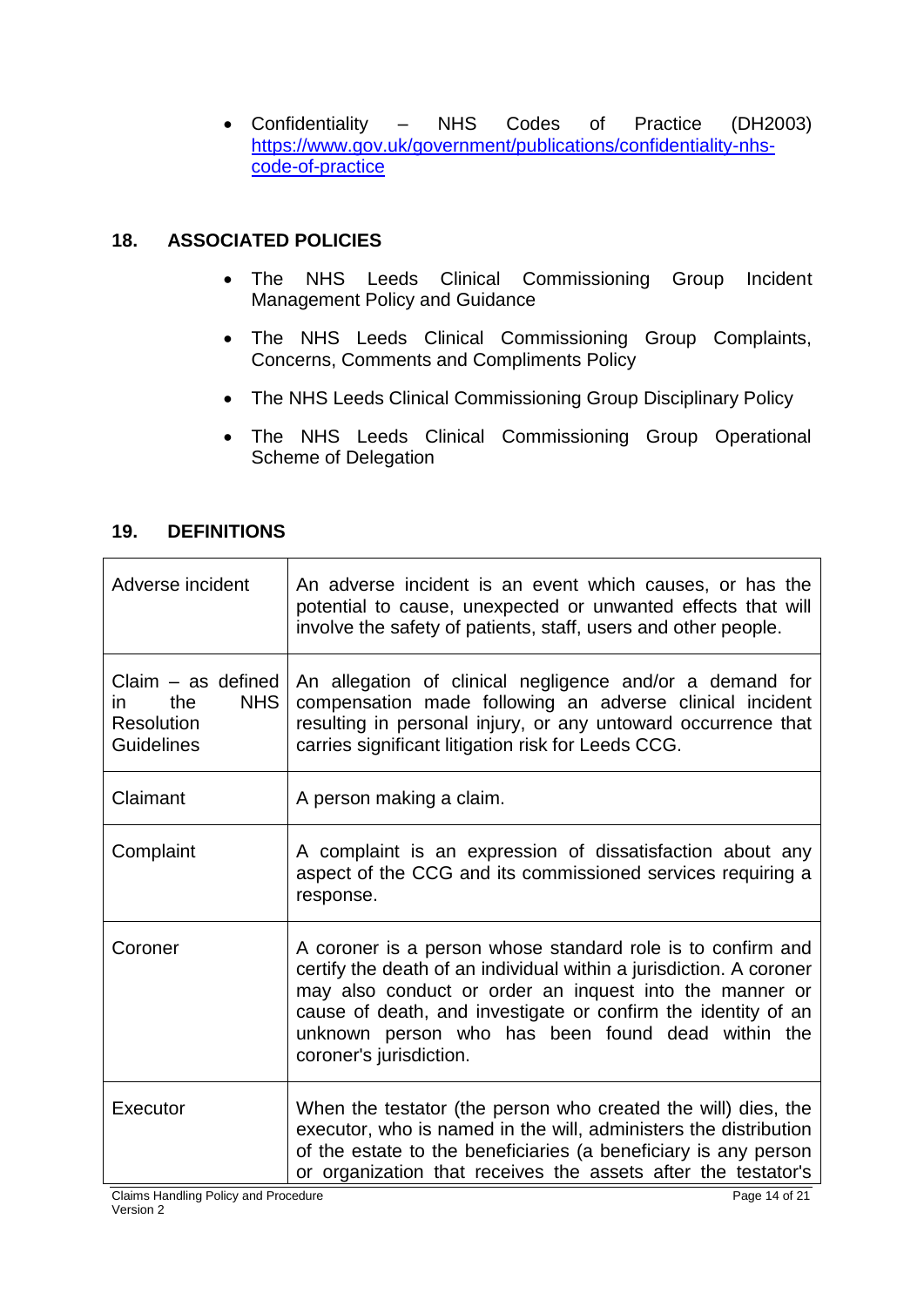Confidentiality – NHS Codes of Practice (DH2003) [https://www.gov.uk/government/publications/confidentiality-nhs](https://www.gov.uk/government/publications/confidentiality-nhs-code-of-practice)[code-of-practice](https://www.gov.uk/government/publications/confidentiality-nhs-code-of-practice)

## **18. ASSOCIATED POLICIES**

- The NHS Leeds Clinical Commissioning Group Incident Management Policy and Guidance
- The NHS Leeds Clinical Commissioning Group Complaints, Concerns, Comments and Compliments Policy
- The NHS Leeds Clinical Commissioning Group Disciplinary Policy
- The NHS Leeds Clinical Commissioning Group Operational Scheme of Delegation

## **19. DEFINITIONS**

| Adverse incident                                                                           | An adverse incident is an event which causes, or has the<br>potential to cause, unexpected or unwanted effects that will<br>involve the safety of patients, staff, users and other people.                                                                                                                                                     |
|--------------------------------------------------------------------------------------------|------------------------------------------------------------------------------------------------------------------------------------------------------------------------------------------------------------------------------------------------------------------------------------------------------------------------------------------------|
| $Claim - as defined$<br><b>NHS</b><br>the<br>in.<br><b>Resolution</b><br><b>Guidelines</b> | An allegation of clinical negligence and/or a demand for<br>compensation made following an adverse clinical incident<br>resulting in personal injury, or any untoward occurrence that<br>carries significant litigation risk for Leeds CCG.                                                                                                    |
| Claimant                                                                                   | A person making a claim.                                                                                                                                                                                                                                                                                                                       |
| Complaint                                                                                  | A complaint is an expression of dissatisfaction about any<br>aspect of the CCG and its commissioned services requiring a<br>response.                                                                                                                                                                                                          |
| Coroner                                                                                    | A coroner is a person whose standard role is to confirm and<br>certify the death of an individual within a jurisdiction. A coroner<br>may also conduct or order an inquest into the manner or<br>cause of death, and investigate or confirm the identity of an<br>unknown person who has been found dead within the<br>coroner's jurisdiction. |
| Executor                                                                                   | When the testator (the person who created the will) dies, the<br>executor, who is named in the will, administers the distribution<br>of the estate to the beneficiaries (a beneficiary is any person<br>or organization that receives the assets after the testator's                                                                          |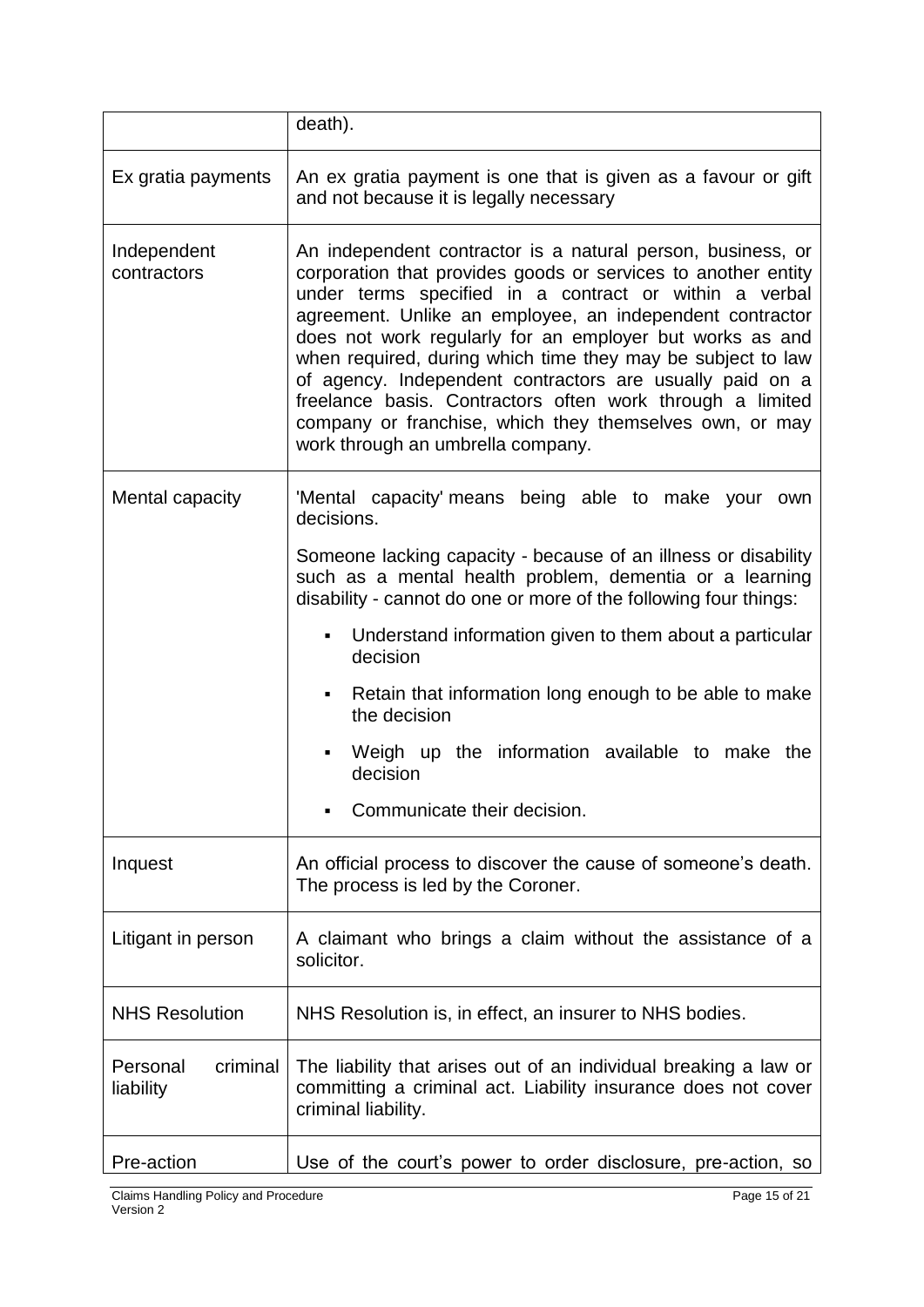|                                   | death).                                                                                                                                                                                                                                                                                                                                                                                                                                                                                                                                                                                                |  |  |
|-----------------------------------|--------------------------------------------------------------------------------------------------------------------------------------------------------------------------------------------------------------------------------------------------------------------------------------------------------------------------------------------------------------------------------------------------------------------------------------------------------------------------------------------------------------------------------------------------------------------------------------------------------|--|--|
| Ex gratia payments                | An ex gratia payment is one that is given as a favour or gift<br>and not because it is legally necessary                                                                                                                                                                                                                                                                                                                                                                                                                                                                                               |  |  |
| Independent<br>contractors        | An independent contractor is a natural person, business, or<br>corporation that provides goods or services to another entity<br>under terms specified in a contract or within a verbal<br>agreement. Unlike an employee, an independent contractor<br>does not work regularly for an employer but works as and<br>when required, during which time they may be subject to law<br>of agency. Independent contractors are usually paid on a<br>freelance basis. Contractors often work through a limited<br>company or franchise, which they themselves own, or may<br>work through an umbrella company. |  |  |
| Mental capacity                   | 'Mental capacity' means being able to make your own<br>decisions.                                                                                                                                                                                                                                                                                                                                                                                                                                                                                                                                      |  |  |
|                                   | Someone lacking capacity - because of an illness or disability<br>such as a mental health problem, dementia or a learning<br>disability - cannot do one or more of the following four things:                                                                                                                                                                                                                                                                                                                                                                                                          |  |  |
|                                   | Understand information given to them about a particular<br>٠<br>decision                                                                                                                                                                                                                                                                                                                                                                                                                                                                                                                               |  |  |
|                                   | Retain that information long enough to be able to make<br>٠<br>the decision                                                                                                                                                                                                                                                                                                                                                                                                                                                                                                                            |  |  |
|                                   | Weigh up the information available to make the<br>٠<br>decision                                                                                                                                                                                                                                                                                                                                                                                                                                                                                                                                        |  |  |
|                                   | Communicate their decision.<br>٠                                                                                                                                                                                                                                                                                                                                                                                                                                                                                                                                                                       |  |  |
| Inquest                           | An official process to discover the cause of someone's death.<br>The process is led by the Coroner.                                                                                                                                                                                                                                                                                                                                                                                                                                                                                                    |  |  |
| Litigant in person                | A claimant who brings a claim without the assistance of a<br>solicitor.                                                                                                                                                                                                                                                                                                                                                                                                                                                                                                                                |  |  |
| <b>NHS Resolution</b>             | NHS Resolution is, in effect, an insurer to NHS bodies.                                                                                                                                                                                                                                                                                                                                                                                                                                                                                                                                                |  |  |
| Personal<br>criminal<br>liability | The liability that arises out of an individual breaking a law or<br>committing a criminal act. Liability insurance does not cover<br>criminal liability.                                                                                                                                                                                                                                                                                                                                                                                                                                               |  |  |
| Pre-action                        | Use of the court's power to order disclosure, pre-action, so                                                                                                                                                                                                                                                                                                                                                                                                                                                                                                                                           |  |  |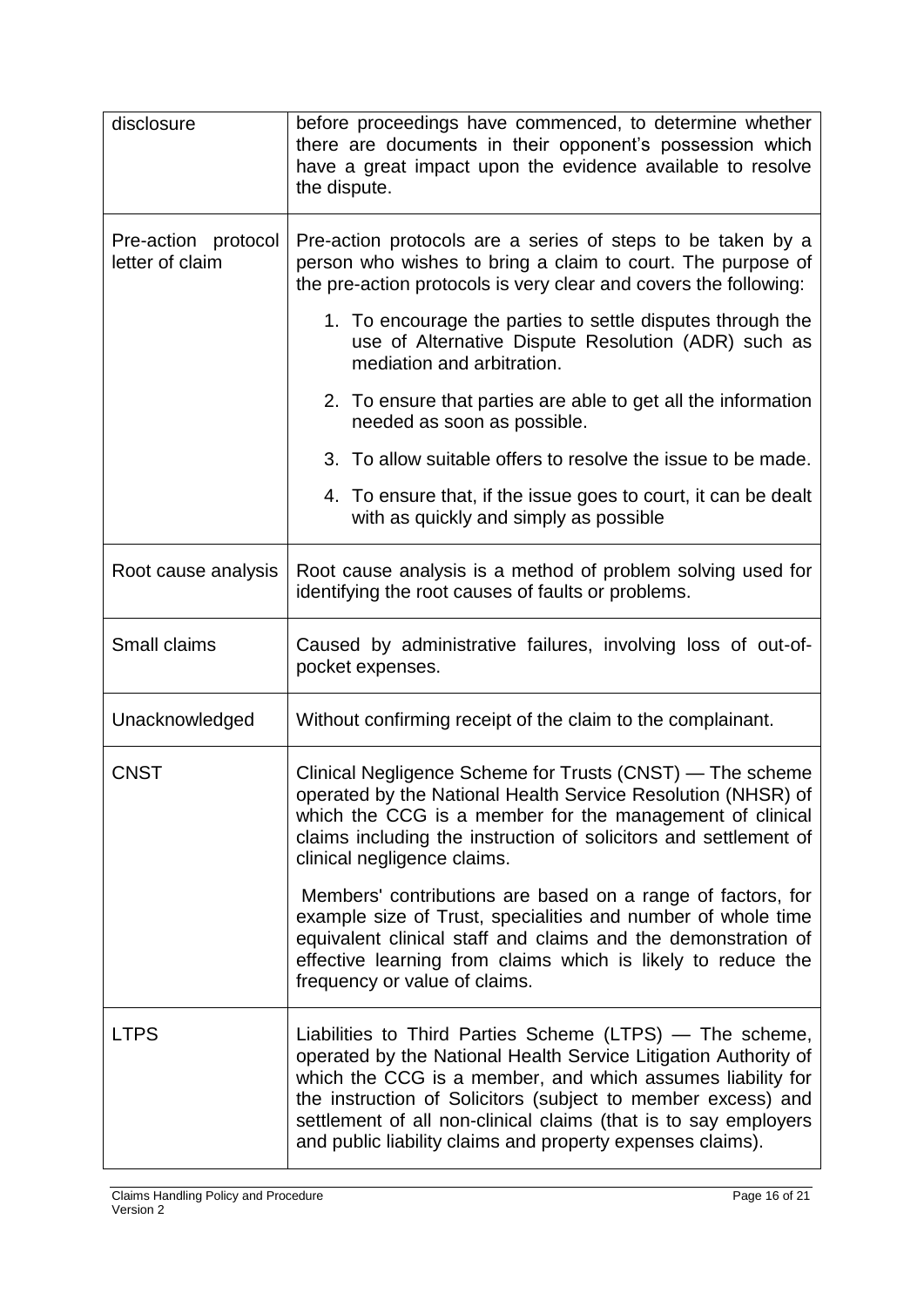| disclosure                             | before proceedings have commenced, to determine whether<br>there are documents in their opponent's possession which<br>have a great impact upon the evidence available to resolve<br>the dispute.                                                                                                                                                                                          |  |  |
|----------------------------------------|--------------------------------------------------------------------------------------------------------------------------------------------------------------------------------------------------------------------------------------------------------------------------------------------------------------------------------------------------------------------------------------------|--|--|
| Pre-action protocol<br>letter of claim | Pre-action protocols are a series of steps to be taken by a<br>person who wishes to bring a claim to court. The purpose of<br>the pre-action protocols is very clear and covers the following:                                                                                                                                                                                             |  |  |
|                                        | 1. To encourage the parties to settle disputes through the<br>use of Alternative Dispute Resolution (ADR) such as<br>mediation and arbitration.                                                                                                                                                                                                                                            |  |  |
|                                        | 2. To ensure that parties are able to get all the information<br>needed as soon as possible.                                                                                                                                                                                                                                                                                               |  |  |
|                                        | 3. To allow suitable offers to resolve the issue to be made.                                                                                                                                                                                                                                                                                                                               |  |  |
|                                        | 4. To ensure that, if the issue goes to court, it can be dealt<br>with as quickly and simply as possible                                                                                                                                                                                                                                                                                   |  |  |
| Root cause analysis                    | Root cause analysis is a method of problem solving used for<br>identifying the root causes of faults or problems.                                                                                                                                                                                                                                                                          |  |  |
| Small claims                           | Caused by administrative failures, involving loss of out-of-<br>pocket expenses.                                                                                                                                                                                                                                                                                                           |  |  |
| Unacknowledged                         | Without confirming receipt of the claim to the complainant.                                                                                                                                                                                                                                                                                                                                |  |  |
| <b>CNST</b>                            | Clinical Negligence Scheme for Trusts (CNST) - The scheme<br>operated by the National Health Service Resolution (NHSR) of<br>which the CCG is a member for the management of clinical<br>claims including the instruction of solicitors and settlement of<br>clinical negligence claims.                                                                                                   |  |  |
|                                        | Members' contributions are based on a range of factors, for<br>example size of Trust, specialities and number of whole time<br>equivalent clinical staff and claims and the demonstration of<br>effective learning from claims which is likely to reduce the<br>frequency or value of claims.                                                                                              |  |  |
| <b>LTPS</b>                            | Liabilities to Third Parties Scheme (LTPS) — The scheme,<br>operated by the National Health Service Litigation Authority of<br>which the CCG is a member, and which assumes liability for<br>the instruction of Solicitors (subject to member excess) and<br>settlement of all non-clinical claims (that is to say employers<br>and public liability claims and property expenses claims). |  |  |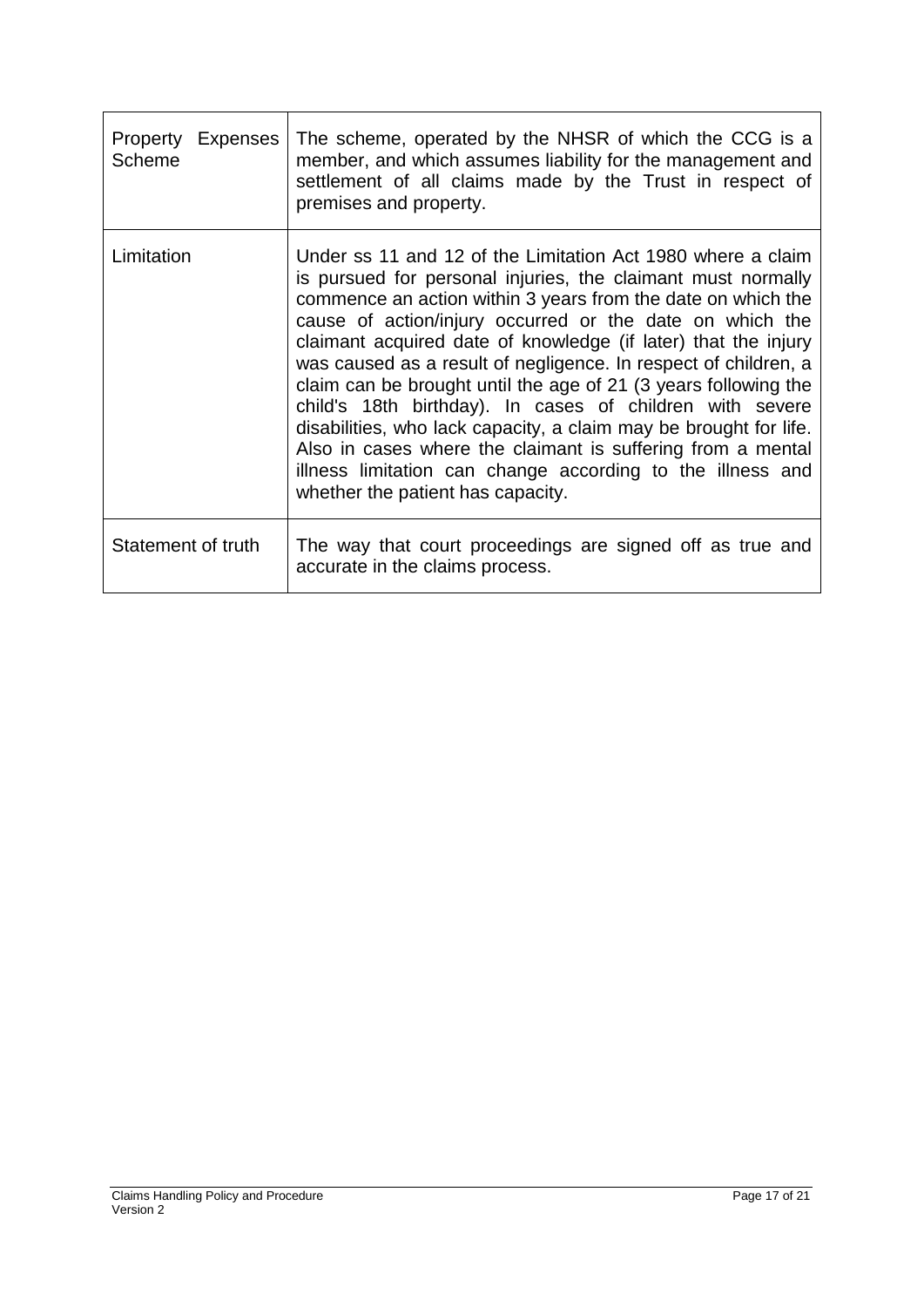| Property Expenses<br>Scheme | The scheme, operated by the NHSR of which the CCG is a<br>member, and which assumes liability for the management and<br>settlement of all claims made by the Trust in respect of<br>premises and property.                                                                                                                                                                                                                                                                                                                                                                                                                                                                                                                                                         |
|-----------------------------|--------------------------------------------------------------------------------------------------------------------------------------------------------------------------------------------------------------------------------------------------------------------------------------------------------------------------------------------------------------------------------------------------------------------------------------------------------------------------------------------------------------------------------------------------------------------------------------------------------------------------------------------------------------------------------------------------------------------------------------------------------------------|
| Limitation                  | Under ss 11 and 12 of the Limitation Act 1980 where a claim<br>is pursued for personal injuries, the claimant must normally<br>commence an action within 3 years from the date on which the<br>cause of action/injury occurred or the date on which the<br>claimant acquired date of knowledge (if later) that the injury<br>was caused as a result of negligence. In respect of children, a<br>claim can be brought until the age of 21 (3 years following the<br>child's 18th birthday). In cases of children with severe<br>disabilities, who lack capacity, a claim may be brought for life.<br>Also in cases where the claimant is suffering from a mental<br>illness limitation can change according to the illness and<br>whether the patient has capacity. |
| Statement of truth          | The way that court proceedings are signed off as true and<br>accurate in the claims process.                                                                                                                                                                                                                                                                                                                                                                                                                                                                                                                                                                                                                                                                       |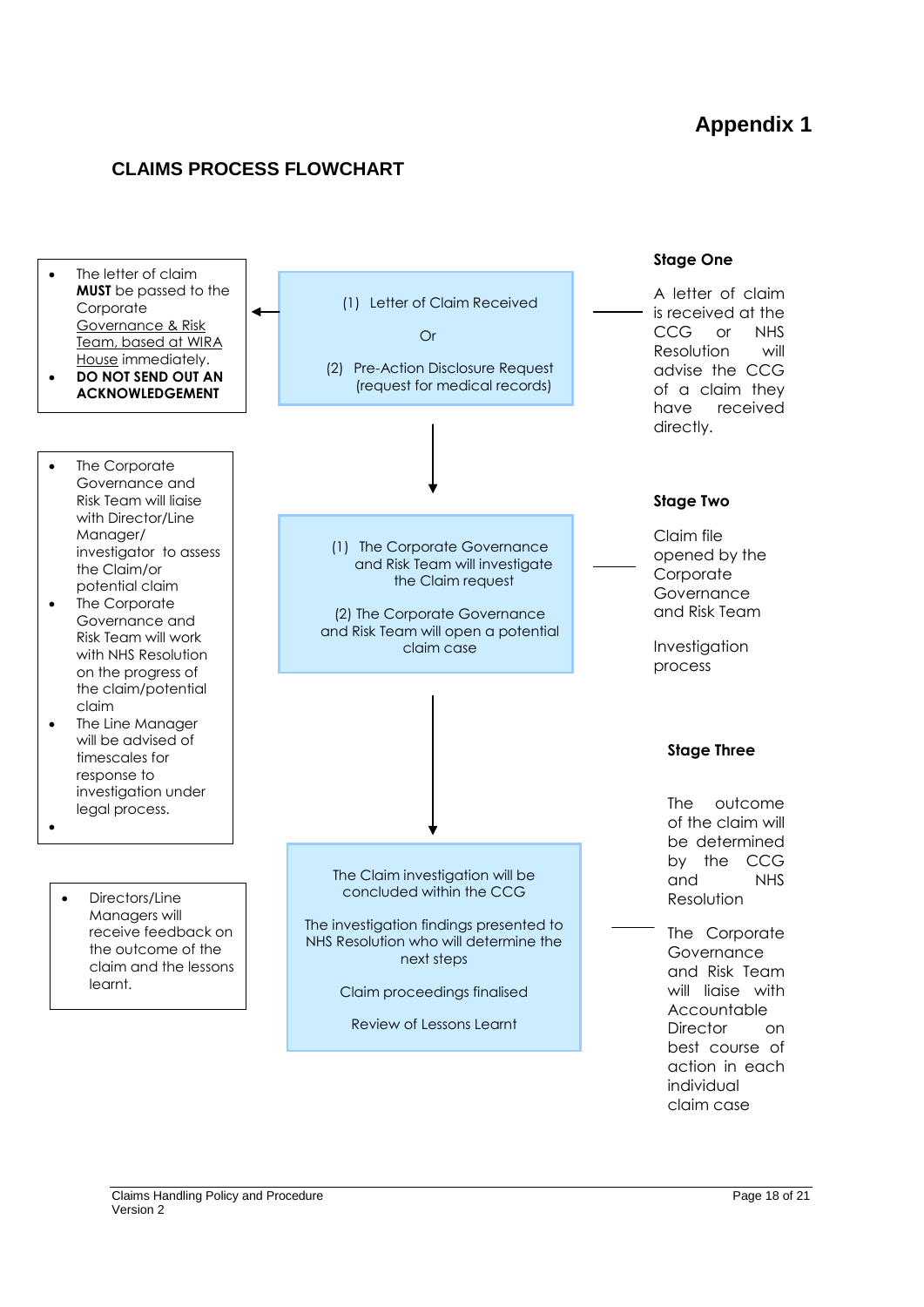# **Appendix 1**

## **CLAIMS PROCESS FLOWCHART**

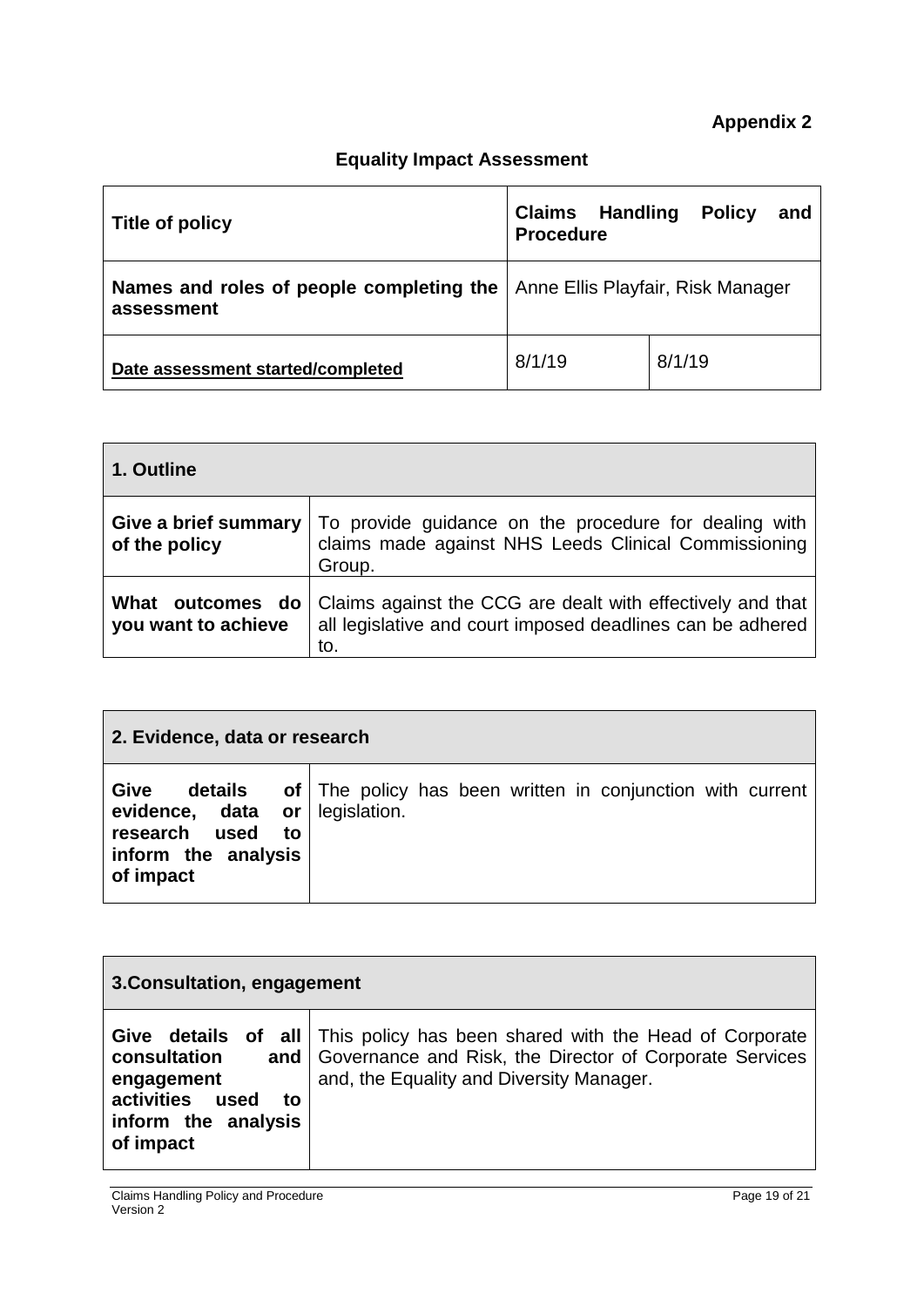# **Equality Impact Assessment**

| Title of policy                                        | Claims<br><b>Handling</b><br><b>Procedure</b> | <b>Policy</b><br>and |
|--------------------------------------------------------|-----------------------------------------------|----------------------|
| Names and roles of people completing the<br>assessment | Anne Ellis Playfair, Risk Manager             |                      |
| Date assessment started/completed                      | 8/1/19                                        | 8/1/19               |

| 1. Outline                                 |                                                                                                                                 |
|--------------------------------------------|---------------------------------------------------------------------------------------------------------------------------------|
| Give a brief summary<br>of the policy      | To provide guidance on the procedure for dealing with<br>claims made against NHS Leeds Clinical Commissioning<br>Group.         |
| What outcomes<br>do<br>you want to achieve | Claims against the CCG are dealt with effectively and that<br>all legislative and court imposed deadlines can be adhered<br>to. |

| 2. Evidence, data or research                                                                   |                                                                            |  |  |  |
|-------------------------------------------------------------------------------------------------|----------------------------------------------------------------------------|--|--|--|
| Give<br>details<br>evidence, data or<br>research used<br>to<br>inform the analysis<br>of impact | of The policy has been written in conjunction with current<br>legislation. |  |  |  |

| 3. Consultation, engagement                                                                               |                                                                                                                                                                                           |  |  |
|-----------------------------------------------------------------------------------------------------------|-------------------------------------------------------------------------------------------------------------------------------------------------------------------------------------------|--|--|
| Give<br>consultation<br>engagement<br><b>activities</b><br>used<br>to<br>inform the analysis<br>of impact | <b>details of all</b> This policy has been shared with the Head of Corporate<br>and   Governance and Risk, the Director of Corporate Services<br>and, the Equality and Diversity Manager. |  |  |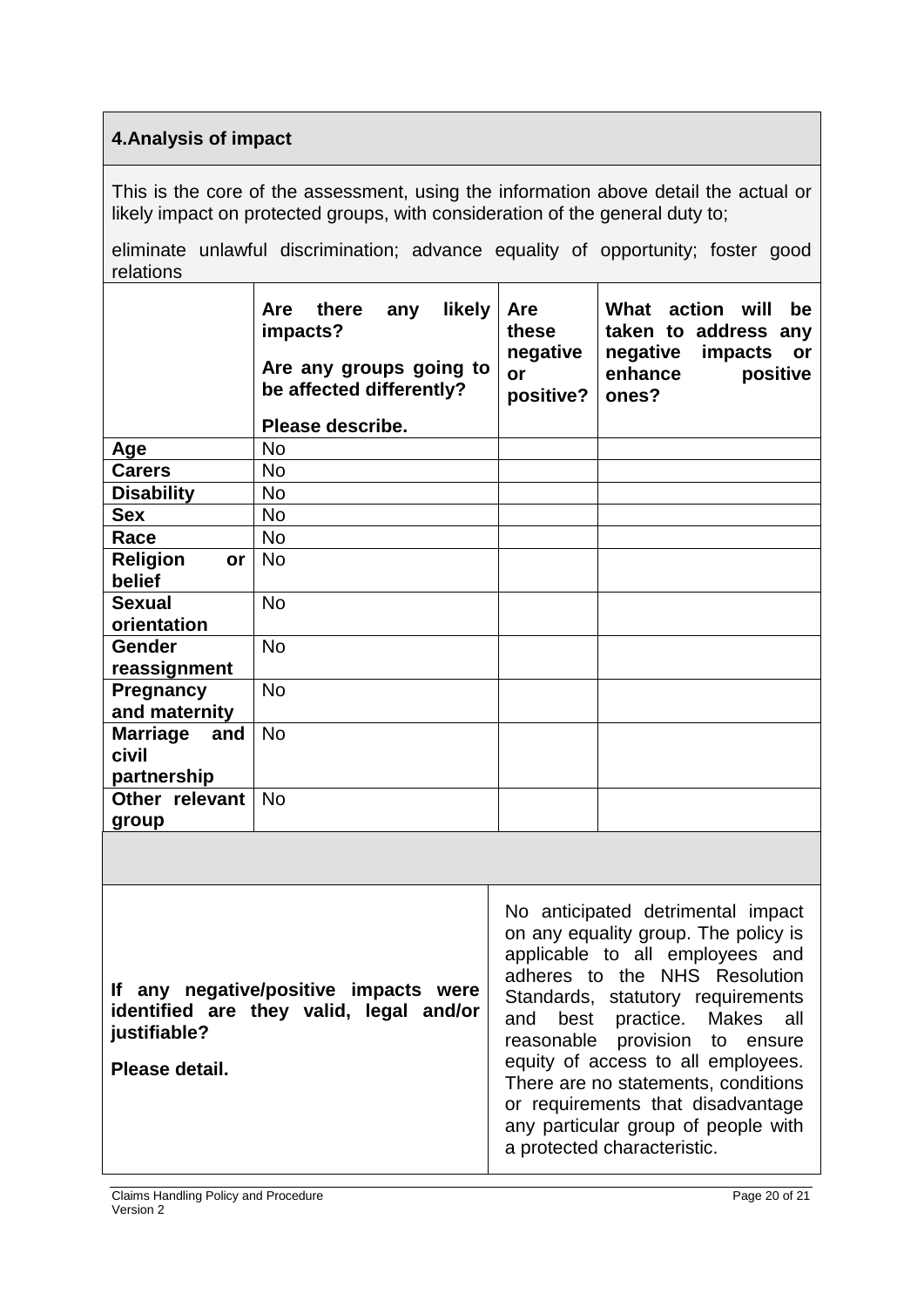## **4.Analysis of impact**

This is the core of the assessment, using the information above detail the actual or likely impact on protected groups, with consideration of the general duty to;

eliminate unlawful discrimination; advance equality of opportunity; foster good relations

|                                                                                                                    | likely<br>there<br>Are<br>any<br>impacts?<br>Are any groups going to<br>be affected differently?<br>Please describe. | <b>Are</b><br>these<br>negative<br>or<br>positive?                                                                                                                                                                                                                                                                                                                              | What<br>action will<br>be<br>taken to address any<br>negative<br>impacts<br>or<br>enhance<br>positive<br>ones? |  |
|--------------------------------------------------------------------------------------------------------------------|----------------------------------------------------------------------------------------------------------------------|---------------------------------------------------------------------------------------------------------------------------------------------------------------------------------------------------------------------------------------------------------------------------------------------------------------------------------------------------------------------------------|----------------------------------------------------------------------------------------------------------------|--|
| Age                                                                                                                | <b>No</b>                                                                                                            |                                                                                                                                                                                                                                                                                                                                                                                 |                                                                                                                |  |
| <b>Carers</b>                                                                                                      | <b>No</b>                                                                                                            |                                                                                                                                                                                                                                                                                                                                                                                 |                                                                                                                |  |
| <b>Disability</b>                                                                                                  | <b>No</b>                                                                                                            |                                                                                                                                                                                                                                                                                                                                                                                 |                                                                                                                |  |
| <b>Sex</b>                                                                                                         | No                                                                                                                   |                                                                                                                                                                                                                                                                                                                                                                                 |                                                                                                                |  |
| Race                                                                                                               | <b>No</b>                                                                                                            |                                                                                                                                                                                                                                                                                                                                                                                 |                                                                                                                |  |
| <b>Religion</b><br>or<br>belief                                                                                    | <b>No</b>                                                                                                            |                                                                                                                                                                                                                                                                                                                                                                                 |                                                                                                                |  |
| <b>Sexual</b><br>orientation                                                                                       | <b>No</b>                                                                                                            |                                                                                                                                                                                                                                                                                                                                                                                 |                                                                                                                |  |
| <b>Gender</b><br>reassignment                                                                                      | <b>No</b>                                                                                                            |                                                                                                                                                                                                                                                                                                                                                                                 |                                                                                                                |  |
| Pregnancy<br>and maternity                                                                                         | <b>No</b>                                                                                                            |                                                                                                                                                                                                                                                                                                                                                                                 |                                                                                                                |  |
| <b>Marriage</b><br>and<br>civil                                                                                    | <b>No</b>                                                                                                            |                                                                                                                                                                                                                                                                                                                                                                                 |                                                                                                                |  |
| partnership                                                                                                        |                                                                                                                      |                                                                                                                                                                                                                                                                                                                                                                                 |                                                                                                                |  |
| Other relevant<br>group                                                                                            | <b>No</b>                                                                                                            |                                                                                                                                                                                                                                                                                                                                                                                 |                                                                                                                |  |
|                                                                                                                    |                                                                                                                      |                                                                                                                                                                                                                                                                                                                                                                                 |                                                                                                                |  |
| If any negative/positive impacts were<br>identified are they valid, legal and/or<br>justifiable?<br>Please detail. |                                                                                                                      | No anticipated detrimental impact<br>on any equality group. The policy is<br>applicable to all employees and<br>adheres to the NHS Resolution<br>Standards, statutory requirements<br>best<br>practice. Makes all<br>and<br>reasonable provision<br>to ensure<br>equity of access to all employees.<br>There are no statements, conditions<br>or requirements that disadvantage |                                                                                                                |  |

any particular group of people with

a protected characteristic.